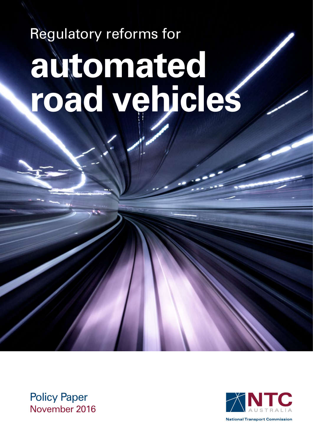# Regulatory reforms for **automated road vehicles**

Policy Paper November 2016

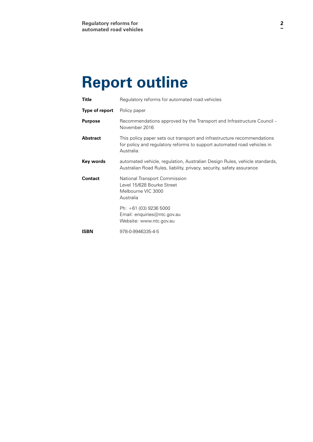# **Report outline**

| <b>Title</b>    | Regulatory reforms for automated road vehicles                                                                                                                   |  |
|-----------------|------------------------------------------------------------------------------------------------------------------------------------------------------------------|--|
| Type of report  | Policy paper                                                                                                                                                     |  |
| <b>Purpose</b>  | Recommendations approved by the Transport and Infrastructure Council –<br>November 2016                                                                          |  |
| <b>Abstract</b> | This policy paper sets out transport and infrastructure recommendations<br>for policy and regulatory reforms to support automated road vehicles in<br>Australia. |  |
| Key words       | automated vehicle, regulation, Australian Design Rules, vehicle standards,<br>Australian Road Rules, liability, privacy, security, safety assurance              |  |
| <b>Contact</b>  | National Transport Commission<br>Level 15/628 Bourke Street<br>Melbourne VIC 3000<br>Australia                                                                   |  |
|                 | Ph: $+61(03)92365000$<br>Email: enquiries@ntc.gov.au<br>Website: www.ntc.gov.au                                                                                  |  |
| <b>ISBN</b>     | 978-0-9946335-4-5                                                                                                                                                |  |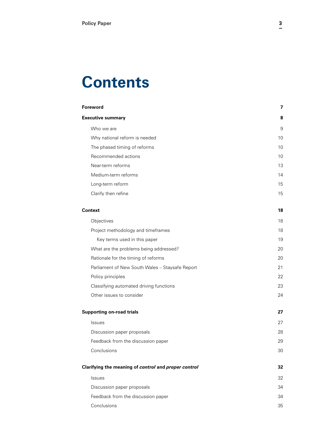# **Contents**

| <b>Foreword</b>                                      | $\overline{\mathbf{z}}$ |
|------------------------------------------------------|-------------------------|
|                                                      |                         |
| <b>Executive summary</b>                             | 8                       |
| Who we are                                           | 9                       |
| Why national reform is needed                        | 10                      |
| The phased timing of reforms                         | 10                      |
| Recommended actions                                  | 10                      |
| Near-term reforms                                    | 13                      |
| Medium-term reforms                                  | 14                      |
| Long-term reform                                     | 15                      |
| Clarify then refine                                  | 15                      |
| <b>Context</b>                                       | 18                      |
| Objectives                                           | 18                      |
| Project methodology and timeframes                   | 18                      |
| Key terms used in this paper                         | 19                      |
| What are the problems being addressed?               | 20                      |
| Rationale for the timing of reforms                  | 20                      |
| Parliament of New South Wales - Staysafe Report      | 21                      |
| Policy principles                                    | 22                      |
| Classifying automated driving functions              | 23                      |
| Other issues to consider                             | 24                      |
| <b>Supporting on-road trials</b>                     | 27                      |
| <b>Issues</b>                                        | 27                      |
| Discussion paper proposals                           | 28                      |
| Feedback from the discussion paper                   | 29                      |
| Conclusions                                          | 30                      |
| Clarifying the meaning of control and proper control | 32                      |
| <b>Issues</b>                                        | 32                      |
| Discussion paper proposals                           | 34                      |
| Feedback from the discussion paper                   | 34                      |
| Conclusions                                          | 35                      |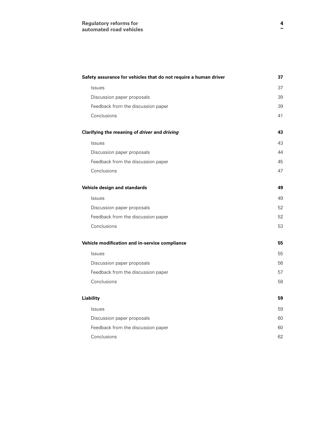| Safety assurance for vehicles that do not require a human driver<br>37 |    |
|------------------------------------------------------------------------|----|
| <b>Issues</b>                                                          | 37 |
| Discussion paper proposals                                             | 39 |
| Feedback from the discussion paper                                     | 39 |
| Conclusions                                                            | 41 |
| Clarifying the meaning of driver and driving                           | 43 |
| <b>Issues</b>                                                          | 43 |
| Discussion paper proposals                                             | 44 |
| Feedback from the discussion paper                                     | 45 |
| Conclusions                                                            | 47 |
| Vehicle design and standards                                           | 49 |
| <b>Issues</b>                                                          | 49 |
| Discussion paper proposals                                             | 52 |
| Feedback from the discussion paper                                     | 52 |
| Conclusions                                                            | 53 |
| Vehicle modification and in-service compliance                         | 55 |
| <b>Issues</b>                                                          | 55 |
| Discussion paper proposals                                             | 56 |
| Feedback from the discussion paper                                     | 57 |
| Conclusions                                                            | 58 |
| <b>Liability</b>                                                       | 59 |
| <b>Issues</b>                                                          | 59 |
| Discussion paper proposals                                             | 60 |
| Feedback from the discussion paper                                     | 60 |
| Conclusions                                                            | 62 |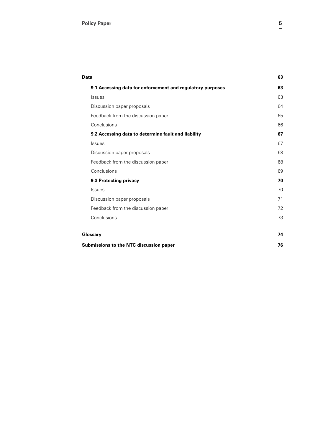|                                         | Data                                                       |    |
|-----------------------------------------|------------------------------------------------------------|----|
|                                         | 9.1 Accessing data for enforcement and regulatory purposes | 63 |
|                                         | <b>Issues</b>                                              | 63 |
|                                         | Discussion paper proposals                                 | 64 |
|                                         | Feedback from the discussion paper                         | 65 |
|                                         | Conclusions                                                | 66 |
|                                         | 9.2 Accessing data to determine fault and liability        | 67 |
|                                         | <b>Issues</b>                                              | 67 |
|                                         | Discussion paper proposals                                 | 68 |
|                                         | Feedback from the discussion paper                         | 68 |
|                                         | Conclusions                                                | 69 |
|                                         | 9.3 Protecting privacy                                     | 70 |
|                                         | <b>Issues</b>                                              | 70 |
|                                         | Discussion paper proposals                                 | 71 |
|                                         | Feedback from the discussion paper                         | 72 |
|                                         | Conclusions                                                | 73 |
|                                         | Glossary                                                   | 74 |
| Submissions to the NTC discussion paper |                                                            | 76 |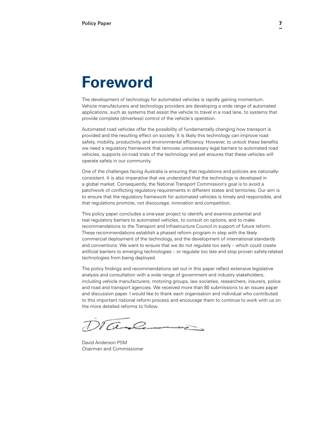# <span id="page-6-0"></span>**Foreword**

The development of technology for automated vehicles is rapidly gaining momentum. Vehicle manufacturers and technology providers are developing a wide range of automated applications, such as systems that assist the vehicle to travel in a road lane, to systems that provide complete (driverless) control of the vehicle's operation.

Automated road vehicles offer the possibility of fundamentally changing how transport is provided and the resulting effect on society. It is likely this technology can improve road safety, mobility, productivity and environmental efficiency. However, to unlock these benefits we need a regulatory framework that removes unnecessary legal barriers to automated road vehicles, supports on-road trials of the technology and yet ensures that these vehicles will operate safely in our community.

One of the challenges facing Australia is ensuring that regulations and policies are nationallyconsistent. It is also imperative that we understand that the technology is developed in a global market. Consequently, the National Transport Commission's goal is to avoid a patchwork of conflicting regulatory requirements in different states and territories. Our aim is to ensure that the regulatory framework for automated vehicles is timely and responsible, and that regulations promote, not discourage, innovation and competition.

This policy paper concludes a one-year project to identify and examine potential and real regulatory barriers to automated vehicles, to consult on options, and to make recommendations to the Transport and Infrastructure Council in support of future reform. These recommendations establish a phased reform program in step with the likely commercial deployment of the technology, and the development of international standards and conventions. We want to ensure that we do not regulate too early – which could create artificial barriers to emerging technologies – or regulate too late and stop proven safety-related technologies from being deployed.

The policy findings and recommendations set out in this paper reflect extensive legislative analysis and consultation with a wide range of government and industry stakeholders, including vehicle manufacturers, motoring groups, law societies, researchers, insurers, police and road and transport agencies. We received more than 80 submissions to an issues paper and discussion paper. I would like to thank each organisation and individual who contributed to this important national reform process and encourage them to continue to work with us on the more detailed reforms to follow.

a -9

David Anderson PSM Chairman and Commissioner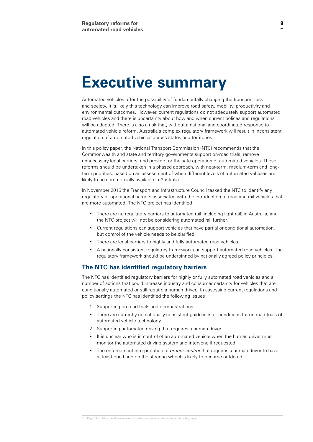# <span id="page-7-0"></span>**Executive summary**

Automated vehicles offer the possibility of fundamentally changing the transport task and society. It is likely this technology can improve road safety, mobility, productivity and environmental outcomes. However, current regulations do not adequately support automated road vehicles and there is uncertainty about how and when current polices and regulations will be adapted. There is also a risk that, without a national and coordinated response to automated vehicle reform, Australia's complex regulatory framework will result in inconsistent regulation of automated vehicles across states and territories.

In this policy paper, the National Transport Commission (NTC) recommends that the Commonwealth and state and territory governments support on-road trials, remove unnecessary legal barriers, and provide for the safe operation of automated vehicles. These reforms should be undertaken in a phased approach, with near-term, medium-term and longterm priorities, based on an assessment of when different levels of automated vehicles are likely to be commercially available in Australia.

In November 2015 the Transport and Infrastructure Council tasked the NTC to identify any regulatory or operational barriers associated with the introduction of road and rail vehicles that are more automated. The NTC project has identified:

- There are no regulatory barriers to automated rail (including light rail) in Australia, and the NTC project will not be considering automated rail further.
- Current regulations can support vehicles that have partial or conditional automation, but control of the vehicle needs to be clarified.
- There are legal barriers to highly and fully automated road vehicles.
- A nationally consistent regulatory framework can support automated road vehicles. The regulatory framework should be underpinned by nationally agreed policy principles.

#### **The NTC has identified regulatory barriers**

The NTC has identified regulatory barriers for highly or fully automated road vehicles and a number of actions that could increase industry and consumer certainty for vehicles that are conditionally automated or still require a human driver.<sup>1</sup> In assessing current regulations and policy settings the NTC has identified the following issues:

- 1. Supporting on-road trials and demonstrations
- There are currently no nationally-consistent guidelines or conditions for on-road trials of automated vehicle technology.
- 2. Supporting automated driving that requires a human driver
- It is unclear who is in control of an automated vehicle when the human driver must monitor the automated driving system and intervene if requested.
- The enforcement interpretation of *proper control* that requires a human driver to have at least one hand on the steering wheel is likely to become outdated.

Page 23 explains the different levels of driving automation referred to in this policy paper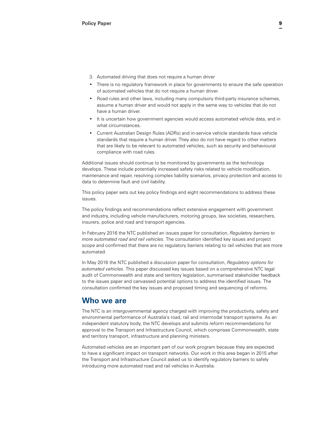- <span id="page-8-0"></span>3. Automated driving that does not require a human driver
- There is no regulatory framework in place for governments to ensure the safe operation of automated vehicles that do not require a human driver.
- Road rules and other laws, including many compulsory third-party insurance schemes, assume a human driver and would not apply in the same way to vehicles that do not have a human driver.
- It is uncertain how government agencies would access automated vehicle data, and in what circumstances.
- Current Australian Design Rules (ADRs) and in-service vehicle standards have vehicle standards that require a human driver. They also do not have regard to other matters that are likely to be relevant to automated vehicles, such as security and behavioural compliance with road rules.

Additional issues should continue to be monitored by governments as the technology develops. These include potentially increased safety risks related to vehicle modification, maintenance and repair, resolving complex liability scenarios, privacy protection and access to data to determine fault and civil liability.

This policy paper sets out key policy findings and eight recommendations to address these issues.

The policy findings and recommendations reflect extensive engagement with government and industry, including vehicle manufacturers, motoring groups, law societies, researchers, insurers, police and road and transport agencies.

In February 2016 the NTC published an issues paper for consultation, *Regulatory barriers to more automated road and rail vehicles*. The consultation identified key issues and project scope and confirmed that there are no regulatory barriers relating to rail vehicles that are more automated.

In May 2016 the NTC published a discussion paper for consultation, *Regulatory options for automated vehicles*. This paper discussed key issues based on a comprehensive NTC legal audit of Commonwealth and state and territory legislation, summarised stakeholder feedback to the issues paper and canvassed potential options to address the identified issues. The consultation confirmed the key issues and proposed timing and sequencing of reforms.

# **Who we are**

The NTC is an intergovernmental agency charged with improving the productivity, safety and environmental performance of Australia's road, rail and intermodal transport systems. As an independent statutory body, the NTC develops and submits reform recommendations for approval to the Transport and Infrastructure Council, which comprises Commonwealth, state and territory transport, infrastructure and planning ministers.

Automated vehicles are an important part of our work program because they are expected to have a significant impact on transport networks. Our work in this area began in 2015 after the Transport and Infrastructure Council asked us to identify regulatory barriers to safely introducing more automated road and rail vehicles in Australia.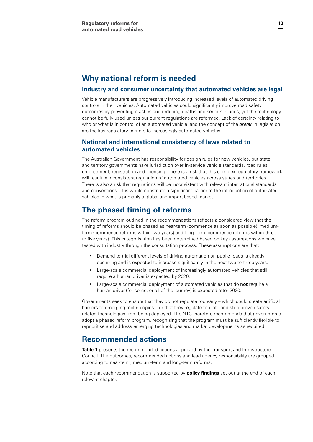# <span id="page-9-0"></span>**Why national reform is needed**

#### **Industry and consumer uncertainty that automated vehicles are legal**

Vehicle manufacturers are progressively introducing increased levels of automated driving controls in their vehicles. Automated vehicles could significantly improve road safety outcomes by preventing crashes and reducing deaths and serious injuries, yet the technology cannot be fully used unless our current regulations are reformed. Lack of certainty relating to who or what is in control of an automated vehicle, and the concept of the *driver* in legislation, are the key regulatory barriers to increasingly automated vehicles.

# **National and international consistency of laws related to automated vehicles**

The Australian Government has responsibility for design rules for new vehicles, but state and territory governments have jurisdiction over in-service vehicle standards, road rules, enforcement, registration and licensing. There is a risk that this complex regulatory framework will result in inconsistent regulation of automated vehicles across states and territories. There is also a risk that regulations will be inconsistent with relevant international standards and conventions. This would constitute a significant barrier to the introduction of automated vehicles in what is primarily a global and import-based market.

# **The phased timing of reforms**

The reform program outlined in the recommendations reflects a considered view that the timing of reforms should be phased as near-term (commence as soon as possible), mediumterm (commence reforms within two years) and long-term (commence reforms within three to five years). This categorisation has been determined based on key assumptions we have tested with industry through the consultation process. These assumptions are that:

- Demand to trial different levels of driving automation on public roads is already occurring and is expected to increase significantly in the next two to three years.
- Large-scale commercial deployment of increasingly automated vehicles that still require a human driver is expected by 2020.
- Large-scale commercial deployment of automated vehicles that do **not** require a human driver (for some, or all of the journey) is expected after 2020.

Governments seek to ensure that they do not regulate too early – which could create artificial barriers to emerging technologies – or that they regulate too late and stop proven safetyrelated technologies from being deployed. The NTC therefore recommends that governments adopt a phased reform program, recognising that the program must be sufficiently flexible to reprioritise and address emerging technologies and market developments as required.

# **Recommended actions**

**Table 1** presents the recommended actions approved by the Transport and Infrastructure Council. The outcomes, recommended actions and lead agency responsibility are grouped according to near-term, medium-term and long-term reforms.

Note that each recommendation is supported by **policy findings** set out at the end of each relevant chapter.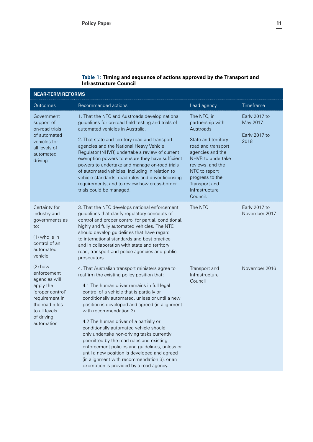| Table 1: Timing and sequence of actions approved by the Transport and |
|-----------------------------------------------------------------------|
| <b>Infrastructure Council</b>                                         |

| <b>NEAR-TERM REFORMS</b>                                                                                                                                    |                                                                                                                                                                                                                                                                                                                                                                                                                                                                                                                                                                                                                                                                                                    |                                                                                                                                                                                                                                           |                                                    |
|-------------------------------------------------------------------------------------------------------------------------------------------------------------|----------------------------------------------------------------------------------------------------------------------------------------------------------------------------------------------------------------------------------------------------------------------------------------------------------------------------------------------------------------------------------------------------------------------------------------------------------------------------------------------------------------------------------------------------------------------------------------------------------------------------------------------------------------------------------------------------|-------------------------------------------------------------------------------------------------------------------------------------------------------------------------------------------------------------------------------------------|----------------------------------------------------|
| Outcomes                                                                                                                                                    | Recommended actions                                                                                                                                                                                                                                                                                                                                                                                                                                                                                                                                                                                                                                                                                | Lead agency                                                                                                                                                                                                                               | Timeframe                                          |
| Government<br>support of<br>on-road trials<br>of automated<br>vehicles for<br>all levels of<br>automated<br>driving                                         | 1. That the NTC and Austroads develop national<br>guidelines for on-road field testing and trials of<br>automated vehicles in Australia.<br>2. That state and territory road and transport<br>agencies and the National Heavy Vehicle<br>Regulator (NHVR) undertake a review of current<br>exemption powers to ensure they have sufficient<br>powers to undertake and manage on-road trials<br>of automated vehicles, including in relation to<br>vehicle standards, road rules and driver licensing<br>requirements, and to review how cross-border<br>trials could be managed.                                                                                                                   | The NTC, in<br>partnership with<br>Austroads<br>State and territory<br>road and transport<br>agencies and the<br>NHVR to undertake<br>reviews, and the<br>NTC to report<br>progress to the<br>Transport and<br>Infrastructure<br>Council. | Early 2017 to<br>May 2017<br>Early 2017 to<br>2018 |
| Certainty for<br>industry and<br>governments as<br>to:<br>$(1)$ who is in<br>control of an<br>automated<br>vehicle                                          | 3. That the NTC develops national enforcement<br>guidelines that clarify regulatory concepts of<br>control and proper control for partial, conditional,<br>highly and fully automated vehicles. The NTC<br>should develop guidelines that have regard<br>to international standards and best practice<br>and in collaboration with state and territory<br>road, transport and police agencies and public<br>prosecutors.                                                                                                                                                                                                                                                                           | The NTC                                                                                                                                                                                                                                   | Early 2017 to<br>November 2017                     |
| $(2)$ how<br>enforcement<br>agencies will<br>apply the<br>'proper control'<br>requirement in<br>the road rules<br>to all levels<br>of driving<br>automation | 4. That Australian transport ministers agree to<br>reaffirm the existing policy position that:<br>4.1 The human driver remains in full legal<br>control of a vehicle that is partially or<br>conditionally automated, unless or until a new<br>position is developed and agreed (in alignment<br>with recommendation 3).<br>4.2 The human driver of a partially or<br>conditionally automated vehicle should<br>only undertake non-driving tasks currently<br>permitted by the road rules and existing<br>enforcement policies and guidelines, unless or<br>until a new position is developed and agreed<br>(in alignment with recommendation 3), or an<br>exemption is provided by a road agency. | Transport and<br>Infrastructure<br>Council                                                                                                                                                                                                | November 2016                                      |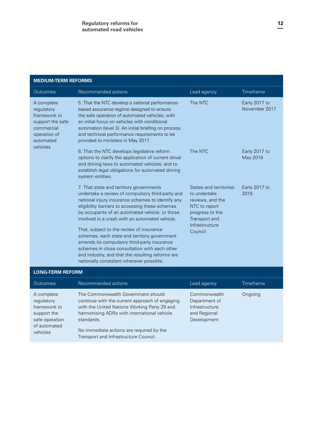### **MEDIUM-TERM REFORMS**

| Outcomes                                                                                                            | Recommended actions                                                                                                                                                                                                                                                                                                                                                                                                                                                                                                                                                                                 | Lead agency                                                                                                                                  | Timeframe                      |
|---------------------------------------------------------------------------------------------------------------------|-----------------------------------------------------------------------------------------------------------------------------------------------------------------------------------------------------------------------------------------------------------------------------------------------------------------------------------------------------------------------------------------------------------------------------------------------------------------------------------------------------------------------------------------------------------------------------------------------------|----------------------------------------------------------------------------------------------------------------------------------------------|--------------------------------|
| A complete<br>regulatory<br>framework to<br>support the safe<br>commercial<br>operation of<br>automated<br>vehicles | 5. That the NTC develop a national performance-<br>based assurance regime designed to ensure<br>the safe operation of automated vehicles, with<br>an initial focus on vehicles with conditional<br>automation (level 3). An initial briefing on process<br>and technical performance requirements to be<br>provided to ministers in May 2017.                                                                                                                                                                                                                                                       | The NTC                                                                                                                                      | Early 2017 to<br>November 2017 |
|                                                                                                                     | 6. That the NTC develops legislative reform<br>options to clarify the application of current driver<br>and driving laws to automated vehicles, and to<br>establish legal obligations for automated driving<br>system entities.                                                                                                                                                                                                                                                                                                                                                                      | The NTC                                                                                                                                      | Early 2017 to<br>May 2018      |
|                                                                                                                     | 7. That state and territory governments<br>undertake a review of compulsory third-party and<br>national injury insurance schemes to identify any<br>eligibility barriers to accessing these schemes<br>by occupants of an automated vehicle, or those<br>involved in a crash with an automated vehicle.<br>That, subject to the review of insurance<br>schemes, each state and territory government<br>amends its compulsory third-party insurance<br>schemes in close consultation with each other<br>and industry, and that the resulting reforms are<br>nationally consistent wherever possible. | States and territories<br>to undertake<br>reviews, and the<br>NTC to report<br>progress to the<br>Transport and<br>Infrastructure<br>Council | Early 2017 to<br>2018          |
| <b>LONG-TERM REFORM</b>                                                                                             |                                                                                                                                                                                                                                                                                                                                                                                                                                                                                                                                                                                                     |                                                                                                                                              |                                |
| Outcomes                                                                                                            | Recommended actions                                                                                                                                                                                                                                                                                                                                                                                                                                                                                                                                                                                 | Lead agency                                                                                                                                  | Timeframe                      |
| A complete<br>regulatory<br>framework to<br>support the<br>safe operation<br>of automated<br>vehicles               | The Commonwealth Government should<br>continue with the current approach of engaging<br>with the United Nations Working Party 29 and<br>harmonising ADRs with international vehicle<br>standards.<br>No immediate actions are required by the                                                                                                                                                                                                                                                                                                                                                       | Commonwealth<br>Department of<br>Infrastructure<br>and Regional<br>Development                                                               | Ongoing                        |

Transport and Infrastructure Council.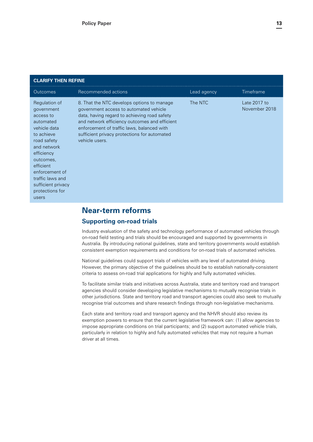<span id="page-12-0"></span>

| <b>CLARIFY THEN REFINE</b>                                                                                                                                                                                                                        |                                                                                                                                                                                                                                                                                                       |             |                               |  |
|---------------------------------------------------------------------------------------------------------------------------------------------------------------------------------------------------------------------------------------------------|-------------------------------------------------------------------------------------------------------------------------------------------------------------------------------------------------------------------------------------------------------------------------------------------------------|-------------|-------------------------------|--|
| <b>Outcomes</b>                                                                                                                                                                                                                                   | Recommended actions                                                                                                                                                                                                                                                                                   | Lead agency | Timeframe                     |  |
| Regulation of<br>government<br>access to<br>automated<br>vehicle data<br>to achieve<br>road safety<br>and network<br>efficiency<br>outcomes,<br>efficient<br>enforcement of<br>traffic laws and<br>sufficient privacy<br>protections for<br>users | 8. That the NTC develops options to manage<br>government access to automated vehicle<br>data, having regard to achieving road safety<br>and network efficiency outcomes and efficient<br>enforcement of traffic laws, balanced with<br>sufficient privacy protections for automated<br>vehicle users. | The NTC     | Late 2017 to<br>November 2018 |  |
|                                                                                                                                                                                                                                                   |                                                                                                                                                                                                                                                                                                       |             |                               |  |

# **Near-term reforms**

# **Supporting on-road trials**

Industry evaluation of the safety and technology performance of automated vehicles through on-road field testing and trials should be encouraged and supported by governments in Australia. By introducing national guidelines, state and territory governments would establish consistent exemption requirements and conditions for on-road trials of automated vehicles.

National guidelines could support trials of vehicles with any level of automated driving. However, the primary objective of the guidelines should be to establish nationally-consistent criteria to assess on-road trial applications for highly and fully automated vehicles.

To facilitate similar trials and initiatives across Australia, state and territory road and transport agencies should consider developing legislative mechanisms to mutually recognise trials in other jurisdictions. State and territory road and transport agencies could also seek to mutually recognise trial outcomes and share research findings through non-legislative mechanisms.

Each state and territory road and transport agency and the NHVR should also review its exemption powers to ensure that the current legislative framework can: (1) allow agencies to impose appropriate conditions on trial participants; and (2) support automated vehicle trials, particularly in relation to highly and fully automated vehicles that may not require a human driver at all times.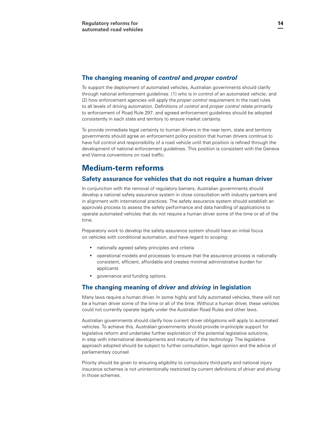### <span id="page-13-0"></span>**The changing meaning of** *control* **and** *proper control*

To support the deployment of automated vehicles, Australian governments should clarify through national enforcement guidelines: (1) who is in control of an automated vehicle; and (2) how enforcement agencies will apply the *proper control* requirement in the road rules to all levels of driving automation. Definitions of *control* and *proper control* relate primarily to enforcement of Road Rule 297, and agreed enforcement guidelines should be adopted consistently in each state and territory to ensure market certainty.

To provide immediate legal certainty to human drivers in the near term, state and territory governments should agree an enforcement policy position that human drivers continue to have full control and responsibility of a road vehicle until that position is refined through the development of national enforcement guidelines. This position is consistent with the Geneva and Vienna conventions on road traffic.

# **Medium-term reforms**

### **Safety assurance for vehicles that do not require a human driver**

In conjunction with the removal of regulatory barriers, Australian governments should develop a national safety assurance system in close consultation with industry partners and in alignment with international practices. The safety assurance system should establish an approvals process to assess the safety performance and data handling of applications to operate automated vehicles that do not require a human driver some of the time or all of the time.

Preparatory work to develop the safety assurance system should have an initial focus on vehicles with conditional automation, and have regard to scoping:

- nationally agreed safety principles and criteria
- operational models and processes to ensure that the assurance process is nationally consistent, efficient, affordable and creates minimal administrative burden for applicants
- governance and funding options.

### **The changing meaning of** *driver* **and** *driving* **in legislation**

Many laws require a human driver. In some highly and fully automated vehicles, there will not be a human driver some of the time or all of the time. Without a human driver, these vehicles could not currently operate legally under the Australian Road Rules and other laws.

Australian governments should clarify how current driver obligations will apply to automated vehicles. To achieve this, Australian governments should provide in-principle support for legislative reform and undertake further exploration of the potential legislative solutions, in step with international developments and maturity of the technology. The legislative approach adopted should be subject to further consultation, legal opinion and the advice of parliamentary counsel.

Priority should be given to ensuring eligibility to compulsory third-party and national injury insurance schemes is not unintentionally restricted by current definitions of *driver* and *driving* in those schemes.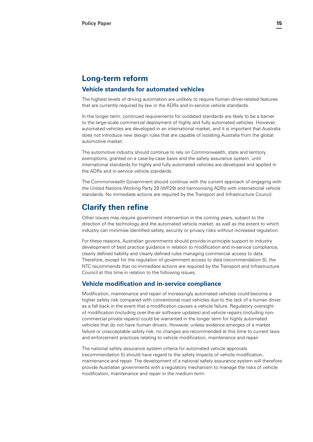# <span id="page-14-0"></span>**Long-term reform**

### **Vehicle standards for automated vehicles**

The highest levels of driving automation are unlikely to require human driver-related features that are currently required by law in the ADRs and in-service vehicle standards.

In the longer term, continued requirements for outdated standards are likely to be a barrier to the large-scale commercial deployment of highly and fully automated vehicles. However, automated vehicles are developed in an international market, and it is important that Australia does not introduce new design rules that are capable of isolating Australia from the global automotive market.

The automotive industry should continue to rely on Commonwealth, state and territory exemptions, granted on a case-by-case basis and the safety assurance system, until international standards for highly and fully automated vehicles are developed and applied in the ADRs and in-service vehicle standards.

The Commonwealth Government should continue with the current approach of engaging with the United Nations Working Party 29 (WP.29) and harmonising ADRs with international vehicle standards. No immediate actions are required by the Transport and Infrastructure Council.

# **Clarify then refine**

Other issues may require government intervention in the coming years, subject to the direction of the technology and the automated vehicle market, as well as the extent to which industry can minimise identified safety, security or privacy risks without increased regulation.

For these reasons, Australian governments should provide in-principle support to industry development of best practice guidance in relation to modification and in-service compliance, clearly defined liability and clearly defined rules managing commercial access to data. Therefore, except for the regulation of government access to data (recommendation 8), the NTC recommends that no immediate actions are required by the Transport and Infrastructure Council at this time in relation to the following issues.

### **Vehicle modification and in-service compliance**

Modification, maintenance and repair of increasingly automated vehicles could become a higher safety risk compared with conventional road vehicles due to the lack of a human driver as a fall back in the event that a modification causes a vehicle failure. Regulatory oversight of modification (including over-the-air software updates) and vehicle repairs (including noncommercial private repairs) could be warranted in the longer term for highly automated vehicles that do not have human drivers. However, unless evidence emerges of a market failure or unacceptable safety risk, no changes are recommended at this time to current laws and enforcement practices relating to vehicle modification, maintenance and repair.

The national safety assurance system criteria for automated vehicle approvals (recommendation 5) should have regard to the safety impacts of vehicle modification, maintenance and repair. The development of a national safety assurance system will therefore provide Australian governments with a regulatory mechanism to manage the risks of vehicle modification, maintenance and repair in the medium-term.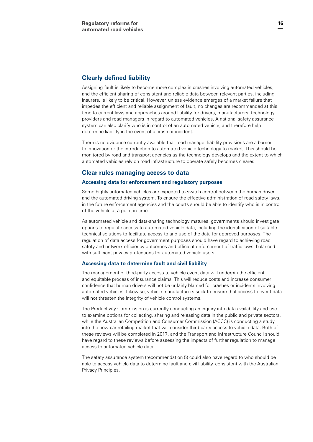### **Clearly defined liability**

Assigning fault is likely to become more complex in crashes involving automated vehicles, and the efficient sharing of consistent and reliable data between relevant parties, including insurers, is likely to be critical. However, unless evidence emerges of a market failure that impedes the efficient and reliable assignment of fault, no changes are recommended at this time to current laws and approaches around liability for drivers, manufacturers, technology providers and road managers in regard to automated vehicles. A national safety assurance system can also clarify who is in control of an automated vehicle, and therefore help determine liability in the event of a crash or incident.

There is no evidence currently available that road manager liability provisions are a barrier to innovation or the introduction to automated vehicle technology to market. This should be monitored by road and transport agencies as the technology develops and the extent to which automated vehicles rely on road infrastructure to operate safely becomes clearer.

#### **Clear rules managing access to data**

#### **Accessing data for enforcement and regulatory purposes**

Some highly automated vehicles are expected to switch control between the human driver and the automated driving system. To ensure the effective administration of road safety laws, in the future enforcement agencies and the courts should be able to identify who is in control of the vehicle at a point in time.

As automated vehicle and data-sharing technology matures, governments should investigate options to regulate access to automated vehicle data, including the identification of suitable technical solutions to facilitate access to and use of the data for approved purposes. The regulation of data access for government purposes should have regard to achieving road safety and network efficiency outcomes and efficient enforcement of traffic laws, balanced with sufficient privacy protections for automated vehicle users.

#### **Accessing data to determine fault and civil liability**

The management of third-party access to vehicle event data will underpin the efficient and equitable process of insurance claims. This will reduce costs and increase consumer confidence that human drivers will not be unfairly blamed for crashes or incidents involving automated vehicles. Likewise, vehicle manufacturers seek to ensure that access to event data will not threaten the integrity of vehicle control systems.

The Productivity Commission is currently conducting an inquiry into data availability and use to examine options for collecting, sharing and releasing data in the public and private sectors, while the Australian Competition and Consumer Commission (ACCC) is conducting a study into the new car retailing market that will consider third-party access to vehicle data. Both of these reviews will be completed in 2017, and the Transport and Infrastructure Council should have regard to these reviews before assessing the impacts of further regulation to manage access to automated vehicle data.

The safety assurance system (recommendation 5) could also have regard to who should be able to access vehicle data to determine fault and civil liability, consistent with the Australian Privacy Principles.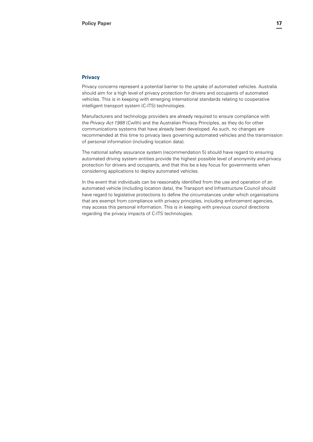#### **Privacy**

Privacy concerns represent a potential barrier to the uptake of automated vehicles. Australia should aim for a high level of privacy protection for drivers and occupants of automated vehicles. This is in keeping with emerging international standards relating to cooperative intelligent transport system (C-ITS) technologies.

Manufacturers and technology providers are already required to ensure compliance with the *Privacy Act 1988* (Cwlth) and the Australian Privacy Principles, as they do for other communications systems that have already been developed. As such, no changes are recommended at this time to privacy laws governing automated vehicles and the transmission of personal information (including location data).

The national safety assurance system (recommendation 5) should have regard to ensuring automated driving system entities provide the highest possible level of anonymity and privacy protection for drivers and occupants, and that this be a key focus for governments when considering applications to deploy automated vehicles.

In the event that individuals can be reasonably identified from the use and operation of an automated vehicle (including location data), the Transport and Infrastructure Council should have regard to legislative protections to define the circumstances under which organisations that are exempt from compliance with privacy principles, including enforcement agencies, may access this personal information. This is in keeping with previous council directions regarding the privacy impacts of C-ITS technologies.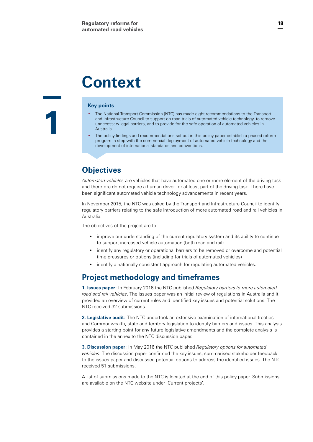# <span id="page-17-0"></span>**Context**

#### **Key points**

**1**

- The National Transport Commission (NTC) has made eight recommendations to the Transport and Infrastructure Council to support on-road trials of automated vehicle technology, to remove unnecessary legal barriers, and to provide for the safe operation of automated vehicles in Australia.
- The policy findings and recommendations set out in this policy paper establish a phased reform program in step with the commercial deployment of automated vehicle technology and the development of international standards and conventions.

# **Objectives**

*Automated vehicles* are vehicles that have automated one or more element of the driving task and therefore do not require a human driver for at least part of the driving task. There have been significant automated vehicle technology advancements in recent years.

In November 2015, the NTC was asked by the Transport and Infrastructure Council to identify regulatory barriers relating to the safe introduction of more automated road and rail vehicles in Australia.

The objectives of the project are to:

- improve our understanding of the current regulatory system and its ability to continue to support increased vehicle automation (both road and rail)
- identify any regulatory or operational barriers to be removed or overcome and potential time pressures or options (including for trials of automated vehicles)
- identify a nationally consistent approach for regulating automated vehicles.

# **Project methodology and timeframes**

**1. Issues paper:** In February 2016 the NTC published *Regulatory barriers to more automated road and rail vehicles*. The issues paper was an initial review of regulations in Australia and it provided an overview of current rules and identified key issues and potential solutions. The NTC received 32 submissions.

**2. Legislative audit:** The NTC undertook an extensive examination of international treaties and Commonwealth, state and territory legislation to identify barriers and issues. This analysis provides a starting point for any future legislative amendments and the complete analysis is contained in the annex to the NTC discussion paper.

**3. Discussion paper:** In May 2016 the NTC published *Regulatory options for automated vehicles*. The discussion paper confirmed the key issues, summarised stakeholder feedback to the issues paper and discussed potential options to address the identified issues. The NTC received 51 submissions.

A list of submissions made to the NTC is located at the end of this policy paper. Submissions are available on the NTC website under 'Current projects'.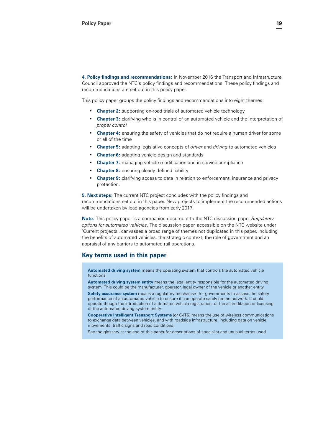**4. Policy findings and recommendations:** In November 2016 the Transport and Infrastructure Council approved the NTC's policy findings and recommendations. These policy findings and recommendations are set out in this policy paper.

This policy paper groups the policy findings and recommendations into eight themes:

- **Chapter 2:** supporting on-road trials of automated vehicle technology
- **Chapter 3:** clarifying who is in control of an automated vehicle and the interpretation of *proper control*
- **Chapter 4:** ensuring the safety of vehicles that do not require a human driver for some or all of the time
- **Chapter 5:** adapting legislative concepts of *driver* and *driving* to automated vehicles
- **Chapter 6:** adapting vehicle design and standards
- **Chapter 7:** managing vehicle modification and in-service compliance
- **Chapter 8:** ensuring clearly defined liability
- **Chapter 9:** clarifying access to data in relation to enforcement, insurance and privacy protection.

**5. Next steps:** The current NTC project concludes with the policy findings and recommendations set out in this paper. New projects to implement the recommended actions will be undertaken by lead agencies from early 2017.

**Note:** This policy paper is a companion document to the NTC discussion paper *Regulatory options for automated vehicles*. The discussion paper, accessible on the NTC website under 'Current projects', canvasses a broad range of themes not duplicated in this paper, including the benefits of automated vehicles, the strategic context, the role of government and an appraisal of any barriers to automated rail operations.

### **Key terms used in this paper**

**Automated driving system** means the operating system that controls the automated vehicle functions.

**Automated driving system entity** means the legal entity responsible for the automated driving system. This could be the manufacturer, operator, legal owner of the vehicle or another entity.

**Safety assurance system** means a regulatory mechanism for governments to assess the safety performance of an automated vehicle to ensure it can operate safely on the network. It could operate though the introduction of automated vehicle registration, or the accreditation or licensing of the automated driving system entity.

**Cooperative Intelligent Transport Systems** (or C-ITS) means the use of wireless communications to exchange data between vehicles, and with roadside infrastructure, including data on vehicle movements, traffic signs and road conditions.

See the glossary at the end of this paper for descriptions of specialist and unusual terms used.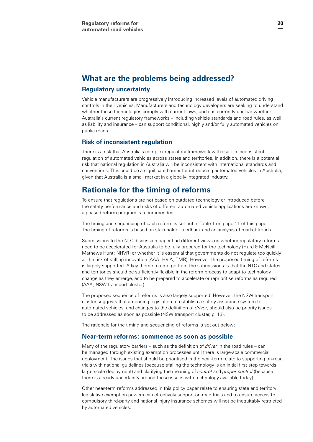# <span id="page-19-0"></span>**What are the problems being addressed?**

### **Regulatory uncertainty**

Vehicle manufacturers are progressively introducing increased levels of automated driving controls in their vehicles. Manufacturers and technology developers are seeking to understand whether these technologies comply with current laws, and it is currently unclear whether Australia's current regulatory frameworks – including vehicle standards and road rules, as well as liability and insurance – can support conditional, highly and/or fully automated vehicles on public roads.

### **Risk of inconsistent regulation**

There is a risk that Australia's complex regulatory framework will result in inconsistent regulation of automated vehicles across states and territories. In addition, there is a potential risk that national regulation in Australia will be inconsistent with international standards and conventions. This could be a significant barrier for introducing automated vehicles in Australia, given that Australia is a small market in a globally integrated industry.

# **Rationale for the timing of reforms**

To ensure that regulations are not based on outdated technology or introduced before the safety performance and risks of different automated vehicle applications are known, a phased reform program is recommended.

The timing and sequencing of each reform is set out in Table 1 on page 11 of this paper. The timing of reforms is based on stakeholder feedback and an analysis of market trends.

Submissions to the NTC discussion paper had different views on whether regulatory reforms need to be accelerated for Australia to be fully prepared for the technology (Hurd & McNeill; Mathews Hunt; NHVR) or whether it is essential that governments do not regulate too quickly at the risk of stifling innovation (AAA; HVIA; TMR). However, the proposed timing of reforms is largely supported. A key theme to emerge from the submissions is that the NTC and states and territories should be sufficiently flexible in the reform process to adapt to technology change as they emerge, and to be prepared to accelerate or reprioritise reforms as required (AAA; NSW transport cluster).

The proposed sequence of reforms is also largely supported. However, the NSW transport cluster suggests that amending legislation to establish a safety assurance system for automated vehicles, and changes to the definition of *driver*, should also be priority issues to be addressed as soon as possible (NSW transport cluster, p. 13).

The rationale for the timing and sequencing of reforms is set out below:

#### **Near-term reforms: commence as soon as possible**

Many of the regulatory barriers – such as the definition of *driver* in the road rules – can be managed through existing exemption processes until there is large-scale commercial deployment. The issues that should be prioritised in the near-term relate to supporting on-road trials with national guidelines (because trialling the technology is an initial first step towards large-scale deployment) and clarifying the meaning of *control* and *proper control* (because there is already uncertainty around these issues with technology available today).

Other near-term reforms addressed in this policy paper relate to ensuring state and territory legislative exemption powers can effectively support on-road trials and to ensure access to compulsory third-party and national injury insurance schemes will not be inequitably restricted by automated vehicles.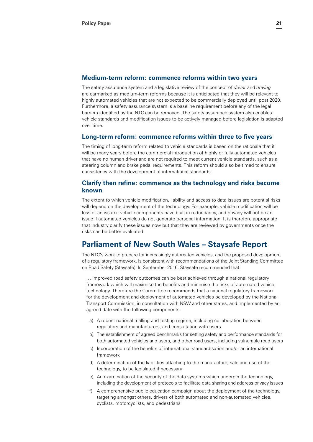## <span id="page-20-0"></span>**Medium-term reform: commence reforms within two years**

The safety assurance system and a legislative review of the concept of *driver* and *driving* are earmarked as medium-term reforms because it is anticipated that they will be relevant to highly automated vehicles that are not expected to be commercially deployed until post 2020. Furthermore, a safety assurance system is a baseline requirement before any of the legal barriers identified by the NTC can be removed. The safety assurance system also enables vehicle standards and modification issues to be actively managed before legislation is adapted over time.

#### **Long-term reform: commence reforms within three to five years**

The timing of long-term reform related to vehicle standards is based on the rationale that it will be many years before the commercial introduction of highly or fully automated vehicles that have no human driver and are not required to meet current vehicle standards, such as a steering column and brake pedal requirements. This reform should also be timed to ensure consistency with the development of international standards.

# **Clarify then refine: commence as the technology and risks become known**

The extent to which vehicle modification, liability and access to data issues are potential risks will depend on the development of the technology. For example, vehicle modification will be less of an issue if vehicle components have built-in redundancy, and privacy will not be an issue if automated vehicles do not generate personal information. It is therefore appropriate that industry clarify these issues now but that they are reviewed by governments once the risks can be better evaluated.

# **Parliament of New South Wales – Staysafe Report**

The NTC's work to prepare for increasingly automated vehicles, and the proposed development of a regulatory framework, is consistent with recommendations of the Joint Standing Committee on Road Safety (Staysafe). In September 2016, Staysafe recommended that:

… improved road safety outcomes can be best achieved through a national regulatory framework which will maximise the benefits and minimise the risks of automated vehicle technology. Therefore the Committee recommends that a national regulatory framework for the development and deployment of automated vehicles be developed by the National Transport Commission, in consultation with NSW and other states, and implemented by an agreed date with the following components:

- a) A robust national trialling and testing regime, including collaboration between regulators and manufacturers, and consultation with users
- b) The establishment of agreed benchmarks for setting safety and performance standards for both automated vehicles and users, and other road users, including vulnerable road users
- c) Incorporation of the benefits of international standardisation and/or an international framework
- d) A determination of the liabilities attaching to the manufacture, sale and use of the technology, to be legislated if necessary
- e) An examination of the security of the data systems which underpin the technology, including the development of protocols to facilitate data sharing and address privacy issues
- f) A comprehensive public education campaign about the deployment of the technology, targeting amongst others, drivers of both automated and non-automated vehicles, cyclists, motorcyclists, and pedestrians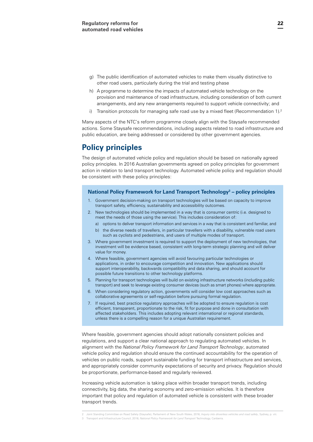- <span id="page-21-0"></span>g) The public identification of automated vehicles to make them visually distinctive to other road users, particularly during the trial and testing phase
- h) A programme to determine the impacts of automated vehicle technology on the provision and maintenance of road infrastructure, including consideration of both current arrangements, and any new arrangements required to support vehicle connectivity; and
- i) Transition protocols for managing safe road use by a mixed fleet (Recommendation  $1$ ).<sup>2</sup>

Many aspects of the NTC's reform programme closely align with the Staysafe recommended actions. Some Staysafe recommendations, including aspects related to road infrastructure and public education, are being addressed or considered by other government agencies.

# **Policy principles**

The design of automated vehicle policy and regulation should be based on nationally agreed policy principles. In 2016 Australian governments agreed on policy principles for government action in relation to land transport technology. Automated vehicle policy and regulation should be consistent with these policy principles:

#### **National Policy Framework for Land Transport Technology<sup>3</sup> – policy principles**

- 1. Government decision-making on transport technologies will be based on capacity to improve transport safety, efficiency, sustainability and accessibility outcomes.
- 2. New technologies should be implemented in a way that is consumer centric (i.e. designed to meet the needs of those using the service). This includes consideration of:
	- a) options to deliver transport information and services in a way that is consistent and familiar, and
	- b) the diverse needs of travellers, in particular travellers with a disability, vulnerable road users such as cyclists and pedestrians, and users of multiple modes of transport.
- 3. Where government investment is required to support the deployment of new technologies, that investment will be evidence based, consistent with long-term strategic planning and will deliver value for money.
- 4. Where feasible, government agencies will avoid favouring particular technologies or applications, in order to encourage competition and innovation. New applications should support interoperability, backwards compatibility and data sharing, and should account for possible future transitions to other technology platforms.
- 5. Planning for transport technologies will build on existing infrastructure networks (including public transport) and seek to leverage existing consumer devices (such as smart phones) where appropriate.
- 6. When considering regulatory action, governments will consider low cost approaches such as collaborative agreements or self-regulation before pursuing formal regulation.
- 7. If required, best practice regulatory approaches will be adopted to ensure regulation is cost efficient, transparent, proportionate to the risk, fit for purpose and done in consultation with affected stakeholders. This includes adopting relevant international or regional standards, unless there is a compelling reason for a unique Australian requirement.

Where feasible, government agencies should adopt nationally consistent policies and regulations, and support a clear national approach to regulating automated vehicles. In alignment with the *National Policy Framework for Land Transport Technology*, automated vehicle policy and regulation should ensure the continued accountability for the operation of vehicles on public roads, support sustainable funding for transport infrastructure and services, and appropriately consider community expectations of security and privacy. Regulation should be proportionate, performance-based and regularly reviewed.

Increasing vehicle automation is taking place within broader transport trends, including connectivity, big data, the sharing economy and zero-emission vehicles. It is therefore important that policy and regulation of automated vehicle is consistent with these broader transport trends.

<sup>2</sup> Joint Standing Committee on Road Safety (Staysafe), Parliament of New South Wales, 2016, *Inquiry into driverless vehicles and road safety*, Sydney, p. viii.

<sup>3</sup> Transport and Infrastructure Council, 2016, *National Policy Framework for Land Transport* Technology, Canberra.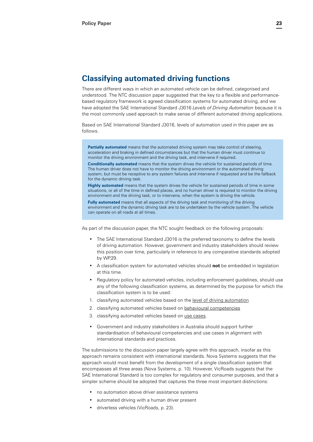# <span id="page-22-0"></span>**Classifying automated driving functions**

There are different ways in which an automated vehicle can be defined, categorised and understood. The NTC discussion paper suggested that the key to a flexible and performancebased regulatory framework is agreed classification systems for automated driving, and we have adopted the SAE International Standard J3016 *Levels of Driving Automation* because it is the most commonly used approach to make sense of different automated driving applications.

Based on SAE International Standard J3016, levels of automation used in this paper are as follows.

**Partially automated** means that the automated driving system may take control of steering, acceleration and braking in defined circumstances but that the human driver must continue to monitor the driving environment and the driving task, and intervene if required.

**Conditionally automated** means that the system drives the vehicle for sustained periods of time. The human driver does not have to monitor the driving environment or the automated driving system, but must be receptive to any system failures and intervene if requested and be the fallback for the dynamic driving task.

**Highly automated** means that the system drives the vehicle for sustained periods of time in some situations, or all of the time in defined places, and no human driver is required to monitor the driving environment and the driving task, or to intervene, when the system is driving the vehicle. **Fully automated** means that all aspects of the driving task and monitoring of the driving

environment and the dynamic driving task are to be undertaken by the vehicle system. The vehicle can operate on all roads at all times.

As part of the discussion paper, the NTC sought feedback on the following proposals:

- The SAE International Standard J3016 is the preferred taxonomy to define the levels of driving automation. However, government and industry stakeholders should review this position over time, particularly in reference to any comparative standards adopted by WP.29.
- A classification system for automated vehicles should **not** be embedded in legislation at this time.
- Regulatory policy for automated vehicles, including enforcement guidelines, should use any of the following classification systems, as determined by the purpose for which the classification system is to be used:
- 1. classifying automated vehicles based on the level of driving automation
- 2. classifying automated vehicles based on behavioural competencies
- 3. classifying automated vehicles based on use cases.
- Government and industry stakeholders in Australia should support further standardisation of behavioural competencies and use cases in alignment with international standards and practices.

The submissions to the discussion paper largely agree with this approach, insofar as this approach remains consistent with international standards. Nova Systems suggests that the approach would most benefit from the development of a single classification system that encompasses all three areas (Nova Systems, p. 10). However, VicRoads suggests that the SAE International Standard is too complex for regulatory and consumer purposes, and that a simpler scheme should be adopted that captures the three most important distinctions:

- no automation above driver assistance systems
- automated driving with a human driver present
- driverless vehicles (VicRoads, p. 23).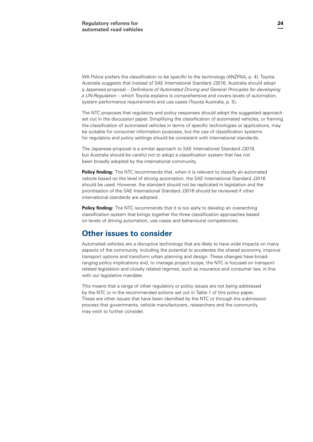<span id="page-23-0"></span>WA Police prefers the classification to be specific to the technology (ANZPAA, p. 4). Toyota Australia suggests that instead of SAE International Standard J3016, Australia should adopt a Japanese proposal – *Definitions of Automated Driving and General Principles for developing a UN-Regulation* – which Toyota explains is comprehensive and covers levels of automation, system performance requirements and use cases (Toyota Australia, p. 5).

The NTC proposes that regulatory and policy responses should adopt the suggested approach set out in the discussion paper. Simplifying the classification of automated vehicles, or framing the classification of automated vehicles in terms of specific technologies or applications, may be suitable for consumer information purposes, but the use of classification systems for regulatory and policy settings should be consistent with international standards.

The Japanese proposal is a similar approach to SAE International Standard J3016, but Australia should be careful not to adopt a classification system that has not been broadly adopted by the international community.

**Policy finding:** The NTC recommends that, when it is relevant to classify an automated vehicle based on the level of driving automation, the SAE International Standard J3016 should be used. However, the standard should not be replicated in legislation and the prioritisation of the SAE International Standard J3016 should be reviewed if other international standards are adopted.

**Policy finding:** The NTC recommends that it is too early to develop an overarching classification system that brings together the three classification approaches based on levels of driving automation, use cases and behavioural competencies.

# **Other issues to consider**

Automated vehicles are a disruptive technology that are likely to have wide impacts on many aspects of the community, including the potential to accelerate the shared economy, improve transport options and transform urban planning and design. These changes have broadranging policy implications and, to manage project scope, the NTC is focused on transportrelated legislation and closely related regimes, such as insurance and consumer law, in line with our legislative mandate.

This means that a range of other regulatory or policy issues are not being addressed by the NTC or in the recommended actions set out in Table 1 of this policy paper. These are other issues that have been identified by the NTC or through the submission process that governments, vehicle manufacturers, researchers and the community may wish to further consider.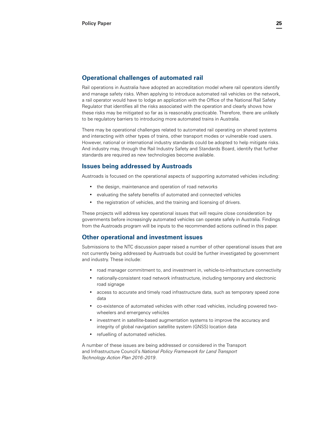### **Operational challenges of automated rail**

Rail operations in Australia have adopted an accreditation model where rail operators identify and manage safety risks. When applying to introduce automated rail vehicles on the network, a rail operator would have to lodge an application with the Office of the National Rail Safety Regulator that identifies all the risks associated with the operation and clearly shows how these risks may be mitigated so far as is reasonably practicable. Therefore, there are unlikely to be regulatory barriers to introducing more automated trains in Australia.

There may be operational challenges related to automated rail operating on shared systems and interacting with other types of trains, other transport modes or vulnerable road users. However, national or international industry standards could be adopted to help mitigate risks. And industry may, through the Rail Industry Safety and Standards Board, identify that further standards are required as new technologies become available.

#### **Issues being addressed by Austroads**

Austroads is focused on the operational aspects of supporting automated vehicles including:

- the design, maintenance and operation of road networks
- evaluating the safety benefits of automated and connected vehicles
- the registration of vehicles, and the training and licensing of drivers.

These projects will address key operational issues that will require close consideration by governments before increasingly automated vehicles can operate safely in Australia. Findings from the Austroads program will be inputs to the recommended actions outlined in this paper.

#### **Other operational and investment issues**

Submissions to the NTC discussion paper raised a number of other operational issues that are not currently being addressed by Austroads but could be further investigated by government and industry. These include:

- road manager commitment to, and investment in, vehicle-to-infrastructure connectivity
- nationally-consistent road network infrastructure, including temporary and electronic road signage
- access to accurate and timely road infrastructure data, such as temporary speed zone data
- co-existence of automated vehicles with other road vehicles, including powered twowheelers and emergency vehicles
- investment in satellite-based augmentation systems to improve the accuracy and integrity of global navigation satellite system (GNSS) location data
- refuelling of automated vehicles.

A number of these issues are being addressed or considered in the Transport and Infrastructure Council's *National Policy Framework for Land Transport Technology Action Plan 2016–2019*.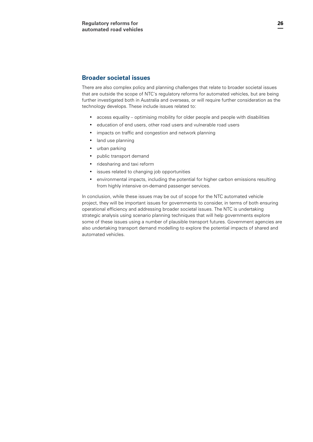# **Broader societal issues**

There are also complex policy and planning challenges that relate to broader societal issues that are outside the scope of NTC's regulatory reforms for automated vehicles, but are being further investigated both in Australia and overseas, or will require further consideration as the technology develops. These include issues related to:

- access equality optimising mobility for older people and people with disabilities
- education of end users, other road users and vulnerable road users
- impacts on traffic and congestion and network planning
- land use planning
- urban parking
- public transport demand
- ridesharing and taxi reform
- issues related to changing job opportunities
- environmental impacts, including the potential for higher carbon emissions resulting from highly intensive on-demand passenger services.

In conclusion, while these issues may be out of scope for the NTC automated vehicle project, they will be important issues for governments to consider, in terms of both ensuring operational efficiency and addressing broader societal issues. The NTC is undertaking strategic analysis using scenario planning techniques that will help governments explore some of these issues using a number of plausible transport futures. Government agencies are also undertaking transport demand modelling to explore the potential impacts of shared and automated vehicles.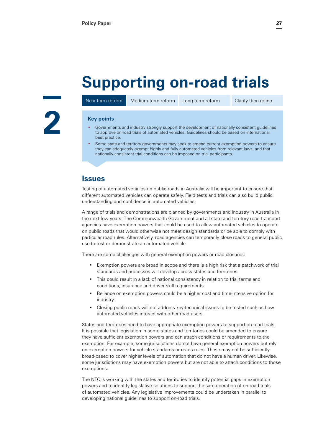# <span id="page-26-0"></span>**Supporting on-road trials**

Near-term reform Medium-term reform Long-term reform Clarify then refine



#### **Key points**

- Governments and industry strongly support the development of nationally consistent guidelines to approve on-road trials of automated vehicles. Guidelines should be based on international best practice.
- Some state and territory governments may seek to amend current exemption powers to ensure they can adequately exempt highly and fully automated vehicles from relevant laws, and that nationally consistent trial conditions can be imposed on trial participants.

# **Issues**

Testing of automated vehicles on public roads in Australia will be important to ensure that different automated vehicles can operate safely. Field tests and trials can also build public understanding and confidence in automated vehicles.

A range of trials and demonstrations are planned by governments and industry in Australia in the next few years. The Commonwealth Government and all state and territory road transport agencies have exemption powers that could be used to allow automated vehicles to operate on public roads that would otherwise not meet design standards or be able to comply with particular road rules. Alternatively, road agencies can temporarily close roads to general public use to test or demonstrate an automated vehicle.

There are some challenges with general exemption powers or road closures:

- Exemption powers are broad in scope and there is a high risk that a patchwork of trial standards and processes will develop across states and territories.
- This could result in a lack of national consistency in relation to trial terms and conditions, insurance and driver skill requirements.
- Reliance on exemption powers could be a higher cost and time-intensive option for industry.
- Closing public roads will not address key technical issues to be tested such as how automated vehicles interact with other road users.

States and territories need to have appropriate exemption powers to support on-road trials. It is possible that legislation in some states and territories could be amended to ensure they have sufficient exemption powers and can attach conditions or requirements to the exemption. For example, some jurisdictions do not have general exemption powers but rely on exemption powers for vehicle standards or roads rules. These may not be sufficiently broad-based to cover higher levels of automation that do not have a human driver. Likewise, some jurisdictions may have exemption powers but are not able to attach conditions to those exemptions.

The NTC is working with the states and territories to identify potential gaps in exemption powers and to identify legislative solutions to support the safe operation of on-road trials of automated vehicles. Any legislative improvements could be undertaken in parallel to developing national guidelines to support on-road trials.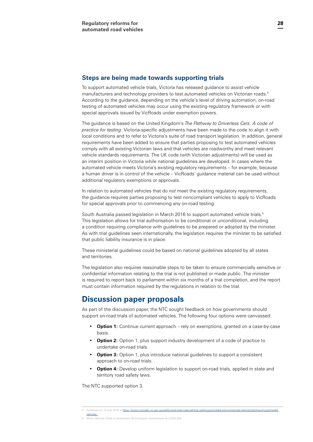<span id="page-27-0"></span>To support automated vehicle trials, Victoria has released guidance to assist vehicle manufacturers and technology providers to test automated vehicles on Victorian roads.4 According to the guidance, depending on the vehicle's level of driving automation, on-road testing of automated vehicles may occur using the existing regulatory framework or with special approvals issued by VicRoads under exemption powers.

The guidance is based on the United Kingdom's *The Pathway to Driverless Cars: A code of practice for testing*. Victoria-specific adjustments have been made to the code to align it with local conditions and to refer to Victoria's suite of road transport legislation. In addition, general requirements have been added to ensure that parties proposing to test automated vehicles comply with all existing Victorian laws and that vehicles are roadworthy and meet relevant vehicle standards requirements. The UK code (with Victorian adjustments) will be used as an interim position in Victoria while national guidelines are developed. In cases where the automated vehicle meets Victoria's existing regulatory requirements – for example, because a human driver is in control of the vehicle – VicRoads' guidance material can be used without additional regulatory exemptions or approvals.

In relation to automated vehicles that do *not* meet the existing regulatory requirements, the guidance requires parties proposing to test noncompliant vehicles to apply to VicRoads for special approvals prior to commencing any on-road testing.

South Australia passed legislation in March 2016 to support automated vehicle trials.<sup>5</sup> This legislation allows for trial authorisation to be conditional or unconditional, including a condition requiring compliance with guidelines to be prepared or adopted by the minister. As with trial guidelines seen internationally, the legislation requires the minister to be satisfied that public liability insurance is in place.

These ministerial guidelines could be based on national guidelines adopted by all states and territories.

The legislation also requires reasonable steps to be taken to ensure commercially sensitive or confidential information relating to the trial is not published or made public. The minister is required to report back to parliament within six months of a trial completion, and the report must contain information required by the regulations in relation to the trial.

# **Discussion paper proposals**

As part of the discussion paper, the NTC sought feedback on how governments should support on-road trials of automated vehicles. The following four options were canvassed:

- **Option 1:** Continue current approach rely on exemptions, granted on a case-by-case basis.
- **Option 2:** Option 1, plus support industry development of a code of practice to undertake on-road trials.
- **Option 3:** Option 1, plus introduce national guidelines to support a consistent approach to on-road trials.
- **Option 4:** Develop uniform legislation to support on-road trials, applied in state and territory road safety laws.

The NTC supported option 3.

[vehicles.](https://www.vicroads.vic.gov.au/safety-and-road-rules/vehicle-safety/automated-and-connected-vehicles/testing-of-automated-vehicles)

5 *Motor Vehicles (Trials of Automotive Technologies) Amendment Act 2016 (SA).*

<sup>4</sup> Accessed on 15 July 2016 at [https://www.vicroads.vic.gov.au/safety-and-road-rules/vehicle-safety/automated-and-connected-vehicles/testing-of-automated-](https://www.vicroads.vic.gov.au/safety-and-road-rules/vehicle-safety/automated-and-connected-vehicles/testing-of-automated-vehicles)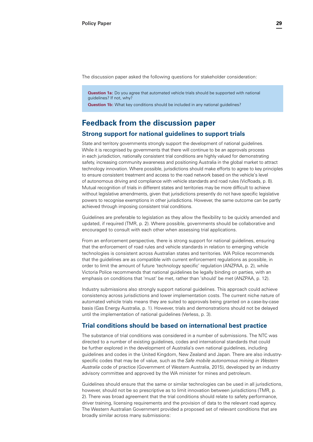<span id="page-28-0"></span>The discussion paper asked the following questions for stakeholder consideration:

**Question 1a:** Do you agree that automated vehicle trials should be supported with national guidelines? If not, why?

**Question 1b:** What key conditions should be included in any national guidelines?

# **Feedback from the discussion paper**

### **Strong support for national guidelines to support trials**

State and territory governments strongly support the development of national guidelines. While it is recognised by governments that there will continue to be an approvals process in each jurisdiction, nationally consistent trial conditions are highly valued for demonstrating safety, increasing community awareness and positioning Australia in the global market to attract technology innovation. Where possible, jurisdictions should make efforts to agree to key principles to ensure consistent treatment and access to the road network based on the vehicle's level of autonomous driving and compliance with vehicle standards and road rules (VicRoads, p. 8). Mutual recognition of trials in different states and territories may be more difficult to achieve without legislative amendments, given that jurisdictions presently do not have specific legislative powers to recognise exemptions in other jurisdictions. However, the same outcome can be partly achieved through imposing consistent trial conditions.

Guidelines are preferable to legislation as they allow the flexibility to be quickly amended and updated, if required (TMR, p. 2). Where possible, governments should be collaborative and encouraged to consult with each other when assessing trial applications.

From an enforcement perspective, there is strong support for national guidelines, ensuring that the enforcement of road rules and vehicle standards in relation to emerging vehicle technologies is consistent across Australian states and territories. WA Police recommends that the guidelines are as compatible with current enforcement regulations as possible, in order to limit the amount of future 'technology specific' regulation (ANZPAA, p. 2), while Victoria Police recommends that national guidelines be legally binding on parties, with an emphasis on conditions that 'must' be met, rather than 'should' be met (ANZPAA, p. 12).

Industry submissions also strongly support national guidelines. This approach could achieve consistency across jurisdictions and lower implementation costs. The current niche nature of automated vehicle trials means they are suited to approvals being granted on a case-by-case basis (Gas Energy Australia, p. 1). However, trials and demonstrations should not be delayed until the implementation of national guidelines (Verless, p. 3).

### **Trial conditions should be based on international best practice**

The substance of trial conditions was considered in a number of submissions. The NTC was directed to a number of existing guidelines, codes and international standards that could be further explored in the development of Australia's own national guidelines, including guidelines and codes in the United Kingdom, New Zealand and Japan. There are also industryspecific codes that may be of value, such as the *Safe mobile autonomous mining in Western Australia* code of practice (Government of Western Australia, 2015), developed by an industry advisory committee and approved by the WA minister for mines and petroleum.

Guidelines should ensure that the same or similar technologies can be used in all jurisdictions, however, should not be so prescriptive as to limit innovation between jurisdictions (TMR, p. 2). There was broad agreement that the trial conditions should relate to safety performance, driver training, licensing requirements and the provision of data to the relevant road agency. The Western Australian Government provided a proposed set of relevant conditions that are broadly similar across many submissions: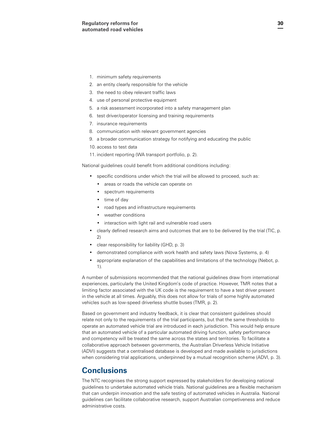- <span id="page-29-0"></span>1. minimum safety requirements
- 2. an entity clearly responsible for the vehicle
- 3. the need to obey relevant traffic laws
- 4. use of personal protective equipment
- 5. a risk assessment incorporated into a safety management plan
- 6. test driver/operator licensing and training requirements
- 7. insurance requirements
- 8. communication with relevant government agencies
- 9. a broader communication strategy for notifying and educating the public
- 10. access to test data
- 11. incident reporting (WA transport portfolio, p. 2).

National guidelines could benefit from additional conditions including:

- specific conditions under which the trial will be allowed to proceed, such as:
	- areas or roads the vehicle can operate on
	- spectrum requirements
	- time of day
	- road types and infrastructure requirements
	- weather conditions
	- interaction with light rail and vulnerable road users
- clearly defined research aims and outcomes that are to be delivered by the trial (TIC, p. 2)
- clear responsibility for liability (GHD, p. 3)
- demonstrated compliance with work health and safety laws (Nova Systems, p. 4)
- appropriate explanation of the capabilities and limitations of the technology (Nebot, p. 1).

A number of submissions recommended that the national guidelines draw from international experiences, particularly the United Kingdom's code of practice. However, TMR notes that a limiting factor associated with the UK code is the requirement to have a test driver present in the vehicle at all times. Arguably, this does not allow for trials of some highly automated vehicles such as low-speed driverless shuttle buses (TMR, p. 2).

Based on government and industry feedback, it is clear that consistent guidelines should relate not only to the requirements of the trial participants, but that the same thresholds to operate an automated vehicle trial are introduced in each jurisdiction. This would help ensure that an automated vehicle of a particular automated driving function, safety performance and competency will be treated the same across the states and territories. To facilitate a collaborative approach between governments, the Australian Driverless Vehicle Initiative (ADVI) suggests that a centralised database is developed and made available to jurisdictions when considering trial applications, underpinned by a mutual recognition scheme (ADVI, p. 3).

# **Conclusions**

The NTC recognises the strong support expressed by stakeholders for developing national guidelines to undertake automated vehicle trials. National guidelines are a flexible mechanism that can underpin innovation and the safe testing of automated vehicles in Australia. National guidelines can facilitate collaborative research, support Australian competiveness and reduce administrative costs.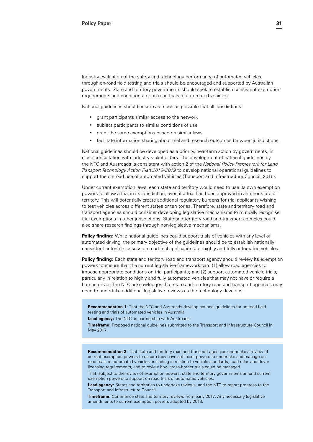Industry evaluation of the safety and technology performance of automated vehicles through on-road field testing and trials should be encouraged and supported by Australian governments. State and territory governments should seek to establish consistent exemption requirements and conditions for on-road trials of automated vehicles.

National guidelines should ensure as much as possible that all jurisdictions:

- grant participants similar access to the network
- subject participants to similar conditions of use
- grant the same exemptions based on similar laws
- facilitate information sharing about trial and research outcomes between jurisdictions.

National guidelines should be developed as a priority, near-term action by governments, in close consultation with industry stakeholders. The development of national guidelines by the NTC and Austroads is consistent with action 2 of the *National Policy Framework for Land Transport Technology Action Plan 2016–2019* to develop national operational guidelines to support the on-road use of automated vehicles (Transport and Infrastructure Council, 2016).

Under current exemption laws, each state and territory would need to use its own exemption powers to allow a trial in its jurisdiction, even if a trial had been approved in another state or territory. This will potentially create additional regulatory burdens for trial applicants wishing to test vehicles across different states or territories. Therefore, state and territory road and transport agencies should consider developing legislative mechanisms to mutually recognise trial exemptions in other jurisdictions. State and territory road and transport agencies could also share research findings through non-legislative mechanisms.

**Policy finding:** While national guidelines could support trials of vehicles with any level of automated driving, the primary objective of the guidelines should be to establish nationally consistent criteria to assess on-road trial applications for highly and fully automated vehicles.

**Policy finding:** Each state and territory road and transport agency should review its exemption powers to ensure that the current legislative framework can: (1) allow road agencies to impose appropriate conditions on trial participants; and (2) support automated vehicle trials, particularly in relation to highly and fully automated vehicles that may not have or require a human driver. The NTC acknowledges that state and territory road and transport agencies may need to undertake additional legislative reviews as the technology develops.

**Recommendation 1:** That the NTC and Austroads develop national guidelines for on-road field testing and trials of automated vehicles in Australia.

**Lead agency:** The NTC, in partnership with Austroads.

**Timeframe:** Proposed national guidelines submitted to the Transport and Infrastructure Council in May 2017.

**Recommendation 2:** That state and territory road and transport agencies undertake a review of current exemption powers to ensure they have sufficient powers to undertake and manage onroad trials of automated vehicles, including in relation to vehicle standards, road rules and driver licensing requirements, and to review how cross-border trials could be managed.

That, subject to the review of exemption powers, state and territory governments amend current exemption powers to support on-road trials of automated vehicles.

**Lead agency:** States and territories to undertake reviews, and the NTC to report progress to the Transport and Infrastructure Council.

**Timeframe:** Commence state and territory reviews from early 2017. Any necessary legislative amendments to current exemption powers adopted by 2018.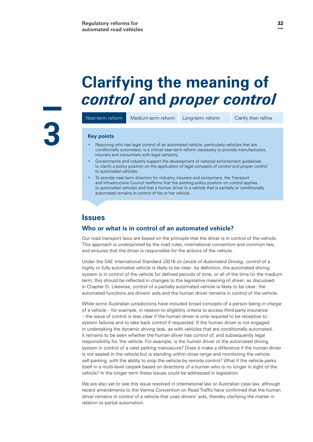# <span id="page-31-0"></span>**Clarifying the meaning of**  *control* **and** *proper control*

**3**

#### Near-term reform Medium-term reform Long-term reform Clarify then refine

#### **Key points**

- Resolving who has legal control of an automated vehicle, particularly vehicles that are conditionally automated, is a critical near-term reform necessary to provide manufacturers, insurers and consumers with legal certainty.
- Governments and industry support the development of national enforcement guidelines to clarify a policy position on the application of legal concepts of *control* and *proper control* to automated vehicles.
- To provide near-term direction for industry, insurers and consumers, the Transport and Infrastructure Council reaffirms that the existing policy position on control applies to automated vehicles and that a human driver in a vehicle that is partially or conditionally automated remains in control of his or her vehicle.

# **Issues**

### **Who or what is in control of an automated vehicle?**

Our road transport laws are based on the principle that the driver is in control of the vehicle. This approach is underpinned by the road rules, international convention and common law, and ensures that the driver is responsible for the actions of the vehicle.

Under the SAE International Standard J3016 on *Levels of Automated Driving*, control of a highly or fully automated vehicle is likely to be clear: by definition, the automated driving system is in control of the vehicle for defined periods of time, or all of the time (in the medium term, this should be reflected in changes to the legislative meaning of *driver*, as discussed in Chapter 5). Likewise, control of a partially automated vehicle is likely to be clear: the automated functions are drivers' aids and the human driver remains in control of the vehicle.

While some Australian jurisdictions have included broad concepts of a person being *in charge* of a vehicle – for example, in relation to eligibility criteria to access third-party insurance – the issue of control is less clear if the human driver is only required to be receptive to system failures and to take back control if requested. If the human driver is not engaged in undertaking the dynamic driving task, as with vehicles that are conditionally automated, it remains to be seen whether the human driver has control of, and subsequently legal responsibility for, the vehicle. For example, is the human driver or the automated driving system in control of a valet parking manoeuvre? Does it make a difference if the human driver is not seated in the vehicle but is standing within close range and monitoring the vehicle self-parking, with the ability to stop the vehicle by remote control? What if the vehicle parks itself in a multi-level carpark based on directions of a human who is no longer in sight of the vehicle? In the longer term these issues could be addressed in legislation.

We are also yet to see this issue resolved in international law or Australian case law, although recent amendments to the Vienna Convention on Road Traffic have confirmed that the human driver remains in control of a vehicle that uses drivers' aids, thereby clarifying the matter in relation to partial automation.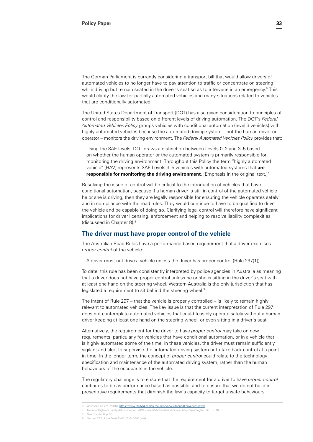The German Parliament is currently considering a transport bill that would allow drivers of automated vehicles to no longer have to pay attention to traffic or concentrate on steering while driving but remain seated in the driver's seat so as to intervene in an emergency.<sup>6</sup> This would clarify the law for partially automated vehicles and many situations related to vehicles that are conditionally automated.

The United States Department of Transport (DOT) has also given consideration to principles of control and responsibility based on different levels of driving automation. The DOT's *Federal Automated Vehicles Policy* groups vehicles with conditional automation (level 3 vehicles) with highly automated vehicles because the automated driving system – not the human driver or operator – monitors the driving environment. The *Federal Automated Vehicles Policy* provides that:

Using the SAE levels, DOT draws a distinction between Levels 0–2 and 3–5 based on whether the human operator or the automated system is primarily responsible for monitoring the driving environment. Throughout this Policy the term "highly automated vehicle" (HAV) represents SAE Levels 3–5 vehicles with automated systems that **are responsible for monitoring the driving environment**. [Emphasis in the original text.]<sup>7</sup>

Resolving the issue of control will be critical to the introduction of vehicles that have conditional automation, because if a human driver is still in control of the automated vehicle he or she is driving, then they are legally responsible for ensuring the vehicle operates safely and in compliance with the road rules. They would continue to have to be qualified to drive the vehicle and be capable of doing so. Clarifying legal control will therefore have significant implications for driver licensing, enforcement and helping to resolve liability complexities (discussed in Chapter 8).8

#### **The driver must have proper control of the vehicle**

The Australian Road Rules have a performance-based requirement that a driver exercises *proper control* of the vehicle:

A driver must not drive a vehicle unless the driver has proper control (Rule 297(1)).

To date, this rule has been consistently interpreted by police agencies in Australia as meaning that a driver does not have proper control unless he or she is sitting in the driver's seat with at least one hand on the steering wheel. Western Australia is the only jurisdiction that has legislated a requirement to sit behind the steering wheel.<sup>9</sup>

The intent of Rule  $297 -$  that the vehicle is properly controlled  $-$  is likely to remain highly relevant to automated vehicles. The key issue is that the current interpretation of Rule 297 does not contemplate automated vehicles that could feasibly operate safely without a human driver keeping at least one hand on the steering wheel, or even sitting in a driver's seat.

Alternatively, the requirement for the driver to have *proper control* may take on new requirements, particularly for vehicles that have conditional automation, or in a vehicle that is highly automated some of the time. In these vehicles, the driver must remain sufficiently vigilant and alert to supervise the automated driving system or to take back control at a point in time. In the longer term, the concept of *proper control* could relate to the technology specification and maintenance of the automated driving system, rather than the human behaviours of the occupants in the vehicle.

The regulatory challenge is to ensure that the requirement for a driver to have *proper control* continues to be as performance-based as possible, and to ensure that we do not build-in prescriptive requirements that diminish the law's capacity to target unsafe behaviours.

Accessed on 22/07/2016: [https://www.2025ad.com/in-the-news/news/dobrindt-driverless-laws/.](https://www.2025ad.com/in-the-news/news/dobrindt-driverless-laws/)

<sup>7</sup> National Highway Safety Administration, 2016, *Federal Automated Vehicles Policy*, Washington, D.C., p. 10.

<sup>8</sup> See Chapter 8, p. 55. 9 Section 263 of the *Road Traffic Code 2000* (WA).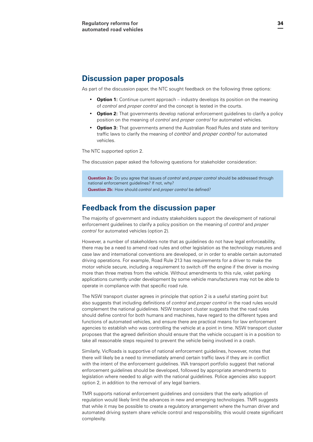# <span id="page-33-0"></span>**Discussion paper proposals**

As part of the discussion paper, the NTC sought feedback on the following three options:

- **Option 1:** Continue current approach industry develops its position on the meaning of *control* and *proper control* and the concept is tested in the courts.
- **Option 2:** That governments develop national enforcement quidelines to clarify a policy position on the meaning of *control* and *proper control* for automated vehicles.
- **Option 3:** That governments amend the Australian Road Rules and state and territory traffic laws to clarify the meaning of *control* and *proper control* for automated vehicles.

The NTC supported option 2.

The discussion paper asked the following questions for stakeholder consideration:

**Question 2a:** Do you agree that issues of *control* and *proper control* should be addressed through national enforcement guidelines? If not, why?

**Question 2b:** How should *control* and *proper control* be defined?

# **Feedback from the discussion paper**

The majority of government and industry stakeholders support the development of national enforcement guidelines to clarify a policy position on the meaning of *control* and *proper control* for automated vehicles (option 2).

However, a number of stakeholders note that as guidelines do not have legal enforceability, there may be a need to amend road rules and other legislation as the technology matures and case law and international conventions are developed, or in order to enable certain automated driving operations. For example, Road Rule 213 has requirements for a driver to make the motor vehicle secure, including a requirement to switch off the engine if the driver is moving more than three metres from the vehicle. Without amendments to this rule, valet parking applications currently under development by some vehicle manufacturers may not be able to operate in compliance with that specific road rule.

The NSW transport cluster agrees in principle that option 2 is a useful starting point but also suggests that including definitions of *control* and *proper control* in the road rules would complement the national guidelines. NSW transport cluster suggests that the road rules should define control for both humans and machines, have regard to the different types and functions of automated vehicles, and ensure there are practical means for law enforcement agencies to establish who was controlling the vehicle at a point in time. NSW transport cluster proposes that the agreed definition should ensure that the vehicle occupant is in a position to take all reasonable steps required to prevent the vehicle being involved in a crash.

Similarly, VicRoads is supportive of national enforcement guidelines, however, notes that there will likely be a need to immediately amend certain traffic laws if they are in conflict with the intent of the enforcement guidelines. WA transport portfolio suggest that national enforcement guidelines should be developed, followed by appropriate amendments to legislation where needed to align with the national guidelines. Police agencies also support option 2, in addition to the removal of any legal barriers.

TMR supports national enforcement guidelines and considers that the early adoption of regulation would likely limit the advances in new and emerging technologies. TMR suggests that while it may be possible to create a regulatory arrangement where the human driver and automated driving system share vehicle control and responsibility, this would create significant complexity.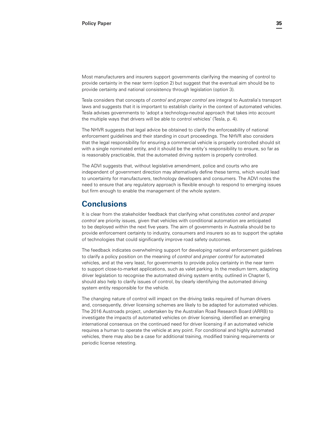<span id="page-34-0"></span>Most manufacturers and insurers support governments clarifying the meaning of control to provide certainty in the near term (option 2) but suggest that the eventual aim should be to provide certainty and national consistency through legislation (option 3).

Tesla considers that concepts of *control* and *proper control* are integral to Australia's transport laws and suggests that it is important to establish clarity in the context of automated vehicles. Tesla advises governments to 'adopt a technology-neutral approach that takes into account the multiple ways that drivers will be able to control vehicles' (Tesla, p. 4).

The NHVR suggests that legal advice be obtained to clarify the enforceability of national enforcement guidelines and their standing in court proceedings. The NHVR also considers that the legal responsibility for ensuring a commercial vehicle is properly controlled should sit with a single nominated entity, and it should be the entity's responsibility to ensure, so far as is reasonably practicable, that the automated driving system is properly controlled.

The ADVI suggests that, without legislative amendment, police and courts who are independent of government direction may alternatively define these terms, which would lead to uncertainty for manufacturers, technology developers and consumers. The ADVI notes the need to ensure that any regulatory approach is flexible enough to respond to emerging issues but firm enough to enable the management of the whole system.

# **Conclusions**

It is clear from the stakeholder feedback that clarifying what constitutes *control* and *proper control* are priority issues, given that vehicles with conditional automation are anticipated to be deployed within the next five years. The aim of governments in Australia should be to provide enforcement certainty to industry, consumers and insurers so as to support the uptake of technologies that could significantly improve road safety outcomes.

The feedback indicates overwhelming support for developing national enforcement guidelines to clarify a policy position on the meaning of *control* and *proper control* for automated vehicles, and at the very least, for governments to provide policy certainty in the near term to support close-to-market applications, such as valet parking. In the medium term, adapting driver legislation to recognise the automated driving system entity, outlined in Chapter 5, should also help to clarify issues of control, by clearly identifying the automated driving system entity responsible for the vehicle.

The changing nature of control will impact on the driving tasks required of human drivers and, consequently, driver licensing schemes are likely to be adapted for automated vehicles. The 2016 Austroads project, undertaken by the Australian Road Research Board (ARRB) to investigate the impacts of automated vehicles on driver licensing, identified an emerging international consensus on the continued need for driver licensing if an automated vehicle requires a human to operate the vehicle at any point. For conditional and highly automated vehicles, there may also be a case for additional training, modified training requirements or periodic license retesting.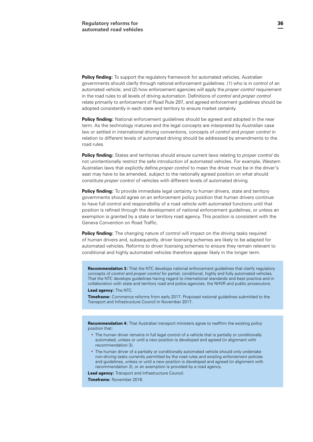**Policy finding:** To support the regulatory framework for automated vehicles, Australian governments should clarify through national enforcement guidelines: (1) who is in control of an automated vehicle; and (2) how enforcement agencies will apply the *proper control* requirement in the road rules to all levels of driving automation. Definitions of *control* and *proper control* relate primarily to enforcement of Road Rule 297, and agreed enforcement guidelines should be adopted consistently in each state and territory to ensure market certainty.

**Policy finding:** National enforcement guidelines should be agreed and adopted in the near term. As the technology matures and the legal concepts are interpreted by Australian case law or settled in international driving conventions, concepts of *control* and *proper control* in relation to different levels of automated driving should be addressed by amendments to the road rules.

**Policy finding:** States and territories should ensure current laws relating to *proper control* do not unintentionally restrict the safe introduction of automated vehicles. For example, Western Australian laws that explicitly define *proper control* to mean the driver must be in the driver's seat may have to be amended, subject to the nationally agreed position on what should constitute *proper control* of vehicles with different levels of automated driving.

**Policy finding:** To provide immediate legal certainty to human drivers, state and territory governments should agree on an enforcement policy position that human drivers continue to have full control and responsibility of a road vehicle with automated functions until that position is refined through the development of national enforcement guidelines, or unless an exemption is granted by a state or territory road agency. This position is consistent with the Geneva Convention on Road Traffic.

**Policy finding:** The changing nature of control will impact on the driving tasks required of human drivers and, subsequently, driver licensing schemes are likely to be adapted for automated vehicles. Reforms to driver licensing schemes to ensure they remain relevant to conditional and highly automated vehicles therefore appear likely in the longer term.

**Recommendation 3:** That the NTC develops national enforcement guidelines that clarify regulatory concepts of *control* and *proper control* for partial, conditional, highly and fully automated vehicles. That the NTC develops guidelines having regard to international standards and best practice and in collaboration with state and territory road and police agencies, the NHVR and public prosecutors. **Lead agency:** The NTC.

**Timeframe:** Commence reforms from early 2017. Proposed national guidelines submitted to the Transport and Infrastructure Council in November 2017.

**Recommendation 4:** That Australian transport ministers agree to reaffirm the existing policy position that:

- The human driver remains in full legal control of a vehicle that is partially or conditionally automated, unless or until a new position is developed and agreed (in alignment with recommendation 3).
- The human driver of a partially or conditionally automated vehicle should only undertake non-driving tasks currently permitted by the road rules and existing enforcement policies and guidelines, unless or until a new position is developed and agreed (in alignment with recommendation 3), or an exemption is provided by a road agency.

**Lead agency:** Transport and Infrastructure Council.

**Timeframe:** November 2016.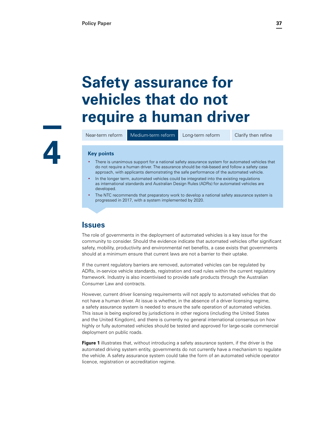# **Safety assurance for vehicles that do not require a human driver**

**Key points**

Near-term reform Medium-term reform Long-term reform Clarify then refine

**4**

- There is unanimous support for a national safety assurance system for automated vehicles that do not require a human driver. The assurance should be risk-based and follow a safety case approach, with applicants demonstrating the safe performance of the automated vehicle.
- In the longer term, automated vehicles could be integrated into the existing regulations as international standards and Australian Design Rules (ADRs) for automated vehicles are developed.
- The NTC recommends that preparatory work to develop a national safety assurance system is progressed in 2017, with a system implemented by 2020.

# **Issues**

The role of governments in the deployment of automated vehicles is a key issue for the community to consider. Should the evidence indicate that automated vehicles offer significant safety, mobility, productivity and environmental net benefits, a case exists that governments should at a minimum ensure that current laws are not a barrier to their uptake.

If the current regulatory barriers are removed, automated vehicles can be regulated by ADRs, in-service vehicle standards, registration and road rules within the current regulatory framework. Industry is also incentivised to provide safe products through the Australian Consumer Law and contracts.

However, current driver licensing requirements will not apply to automated vehicles that do not have a human driver. At issue is whether, in the absence of a driver licensing regime, a safety assurance system is needed to ensure the safe operation of automated vehicles. This issue is being explored by jurisdictions in other regions (including the United States and the United Kingdom), and there is currently no general international consensus on how highly or fully automated vehicles should be tested and approved for large-scale commercial deployment on public roads.

**Figure 1** illustrates that, without introducing a safety assurance system, if the driver is the automated driving system entity, governments do not currently have a mechanism to regulate the vehicle. A safety assurance system could take the form of an automated vehicle operator licence, registration or accreditation regime.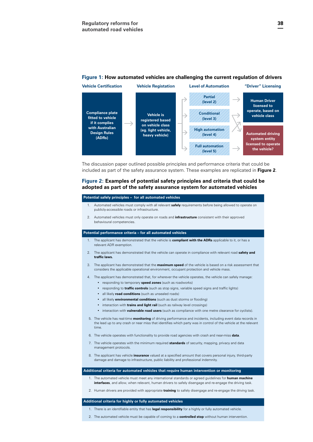#### **Vehicle Certification Vehicle Registation Level of Automation "Driver" Licensing Partial Human Driver (level 2) licensed to operate, based on Compliance plate Conditional Vehicle is**  → **vehicle class fitted to vehicle (level 3) registered based if it complies on vehicle class with Australian (eg. light vehicle, High automation Design Rules Automated driving (level 4) heavy vehicle) (ADRs) system entity licensed to operate Full automation**  $\overline{\phantom{0}}$ **the vehicle? (level 5)**

#### **Figure 1: How automated vehicles are challenging the current regulation of drivers**

The discussion paper outlined possible principles and performance criteria that could be included as part of the safety assurance system. These examples are replicated in **Figure 2**.

#### **Figure 2: Examples of potential safety principles and criteria that could be adopted as part of the safety assurance system for automated vehicles**

#### **Potential safely principles – for all automated vehicles**

- 1. Automated vehicles must comply with all relevant **safely** requirements before being allowed to operate on publicly-accessible roads or infrastructure.
- 2. Automated vehicles must only operate on roads and **infrastructure** consistent with their approved behavioural competencies.

#### **Potential performance criteria – for all automated vehicles**

- 1. The applicant has demonstrated that the vehicle is **compliant with the ADRs** applicable to it, or has a relevant ADR exemption.
- 2. The applicant has demonstrated that the vehicle can operate in compliance with relevant road **safety and traffic laws.**
- 3. The applicant has demonstrated that the **maximum speed** of the vehicle is based on a risk assessment that considers the applicable operational environment, occupant protection and vehicle mass.
- 4. The applicant has demonstrated that, for wherever the vehicle operates, the vehicle can safely manage:
	- responding to temporary **speed zones** (such as roadworks)
	- responding to **traffic controls** (such as stop signs, variable speed signs and traffic lights)
	- all likely **road conditions** (such as unsealed roads)
	- all likely **environmental conditions** (such as dust storms or flooding)
	- interaction with **trains and light rail** (such as railway level crossings)
	- interaction with **vulnerable road users** (such as compliance with one metre clearance for cyclists).
- 5. The vehicle has real-time **monitoring** of driving performance and incidents, including event data records in the lead up to any crash or near miss that identifies which party was in control of the vehicle at the relevant time.
- 6. The vehicle operates with functionality to provide road agencies with crash and near-miss **data**.
- 7. The vehicle operates with the minimum required **standards** of security, mapping, privacy and data management protocols.
- 8. The applicant has vehicle **insurance** valued at a specified amount that covers personal injury, third-party damage and damage to infrastructure, public liability and professional indemnity.

#### **Additional criteria for automated vehicles that require human intervention or monitoring**

- 1. The automated vehicle must meet any international standards or agreed guidelines for **human machine interfaces**, and allow, when relevant, human drivers to safely disengage and re-engage the driving task.
- 2. Human drivers are provided with appropriate **training** to safely disengage and re-engage the driving task.

#### **Additional criteria for highly or fully automated vehicles**

- 1. There is an identifiable entity that has **legal responsibility** for a highly or fully automated vehicle.
- 2. The automated vehicle must be capable of coming to a **controlled stop** without human intervention.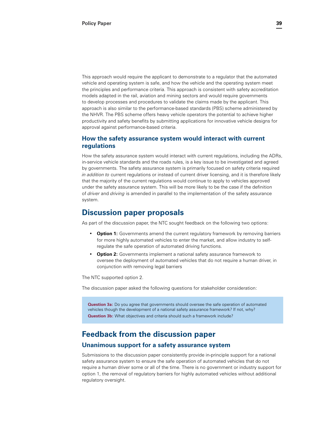This approach would require the applicant to demonstrate to a regulator that the automated vehicle and operating system is safe, and how the vehicle and the operating system meet the principles and performance criteria. This approach is consistent with safety accreditation models adapted in the rail, aviation and mining sectors and would require governments to develop processes and procedures to validate the claims made by the applicant. This approach is also similar to the performance-based standards (PBS) scheme administered by the NHVR. The PBS scheme offers heavy vehicle operators the potential to achieve higher productivity and safety benefits by submitting applications for innovative vehicle designs for approval against performance-based criteria.

#### **How the safety assurance system would interact with current regulations**

How the safety assurance system would interact with current regulations, including the ADRs, in-service vehicle standards and the roads rules, is a key issue to be investigated and agreed by governments. The safety assurance system is primarily focused on safety criteria required *in addition to* current regulations or instead of current driver licensing, and it is therefore likely that the majority of the current regulations would continue to apply to vehicles approved under the safety assurance system. This will be more likely to be the case if the definition of *driver* and *driving* is amended in parallel to the implementation of the safety assurance system.

### **Discussion paper proposals**

As part of the discussion paper, the NTC sought feedback on the following two options:

- **Option 1:** Governments amend the current regulatory framework by removing barriers for more highly automated vehicles to enter the market, and allow industry to selfregulate the safe operation of automated driving functions.
- **Option 2:** Governments implement a national safety assurance framework to oversee the deployment of automated vehicles that do not require a human driver, in conjunction with removing legal barriers

The NTC supported option 2.

The discussion paper asked the following questions for stakeholder consideration:

**Question 3a:** Do you agree that governments should oversee the safe operation of automated vehicles though the development of a national safety assurance framework? If not, why? **Question 3b:** What objectives and criteria should such a framework include?

# **Feedback from the discussion paper**

#### **Unanimous support for a safety assurance system**

Submissions to the discussion paper consistently provide in-principle support for a national safety assurance system to ensure the safe operation of automated vehicles that do not require a human driver some or all of the time. There is no government or industry support for option 1, the removal of regulatory barriers for highly automated vehicles without additional regulatory oversight.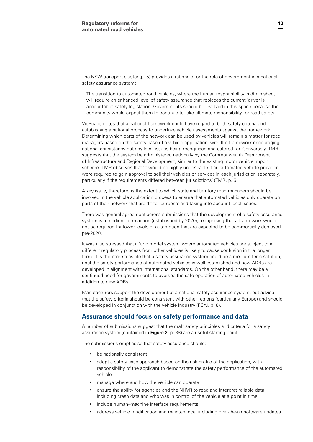The NSW transport cluster (p. 5) provides a rationale for the role of government in a national safety assurance system:

The transition to automated road vehicles, where the human responsibility is diminished, will require an enhanced level of safety assurance that replaces the current 'driver is accountable' safety legislation. Governments should be involved in this space because the community would expect them to continue to take ultimate responsibility for road safety.

VicRoads notes that a national framework could have regard to both safety criteria and establishing a national process to undertake vehicle assessments against the framework. Determining which parts of the network can be used by vehicles will remain a matter for road managers based on the safety case of a vehicle application, with the framework encouraging national consistency but any local issues being recognised and catered for. Conversely, TMR suggests that the system be administered nationally by the Commonwealth Department of Infrastructure and Regional Development, similar to the existing motor vehicle import scheme. TMR observes that 'it would be highly undesirable if an automated vehicle provider were required to gain approval to sell their vehicles or services in each jurisdiction separately, particularly if the requirements differed between jurisdictions' (TMR, p. 5).

A key issue, therefore, is the extent to which state and territory road managers should be involved in the vehicle application process to ensure that automated vehicles only operate on parts of their network that are 'fit for purpose' and taking into account local issues.

There was general agreement across submissions that the development of a safety assurance system is a medium-term action (established by 2020), recognising that a framework would not be required for lower levels of automation that are expected to be commercially deployed pre-2020.

It was also stressed that a 'two model system' where automated vehicles are subject to a different regulatory process from other vehicles is likely to cause confusion in the longer term. It is therefore feasible that a safety assurance system could be a medium-term solution, until the safety performance of automated vehicles is well established and new ADRs are developed in alignment with international standards. On the other hand, there may be a continued need for governments to oversee the safe operation of automated vehicles in addition to new ADRs.

Manufacturers support the development of a national safety assurance system, but advise that the safety criteria should be consistent with other regions (particularly Europe) and should be developed in conjunction with the vehicle industry (FCAI, p. 8).

#### **Assurance should focus on safety performance and data**

A number of submissions suggest that the draft safety principles and criteria for a safety assurance system (contained in **Figure 2**, p. 38) are a useful starting point.

The submissions emphasise that safety assurance should:

- be nationally consistent
- adopt a safety case approach based on the risk profile of the application, with responsibility of the applicant to demonstrate the safety performance of the automated vehicle
- manage where and how the vehicle can operate
- ensure the ability for agencies and the NHVR to read and interpret reliable data, including crash data and who was in control of the vehicle at a point in time
- include human–machine interface requirements
- address vehicle modification and maintenance, including over-the-air software updates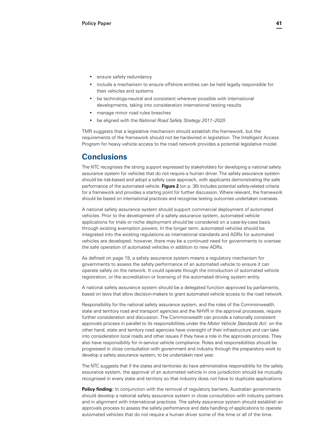- ensure safety redundancy
- include a mechanism to ensure offshore entities can be held legally responsible for their vehicles and systems
- be technology-neutral and consistent wherever possible with international developments, taking into consideration international testing results
- manage minor road rules breaches
- be aligned with the *National Road Safety Strategy 2011–2020*.

TMR suggests that a legislative mechanism should establish the framework, but the requirements of the framework should not be hardwired in legislation. The Intelligent Access Program for heavy vehicle access to the road network provides a potential legislative model.

# **Conclusions**

The NTC recognises the strong support expressed by stakeholders for developing a national safety assurance system for vehicles that do not require a human driver. The safety assurance system should be risk-based and adopt a safety case approach, with applicants demonstrating the safe performance of the automated vehicle. **Figure 2** (on p. 38) includes potential safety-related criteria for a framework and provides a starting point for further discussion. Where relevant, the framework should be based on international practices and recognise testing outcomes undertaken overseas.

A national safety assurance system should support commercial deployment of automated vehicles. Prior to the development of a safety assurance system, automated vehicle applications for trials or niche deployment should be considered on a case-by-case basis through existing exemption powers. In the longer term, automated vehicles should be integrated into the existing regulations as international standards and ADRs for automated vehicles are developed; however, there may be a continued need for governments to oversee the safe operation of automated vehicles in addition to new ADRs.

As defined on page 19, a safety assurance system means a regulatory mechanism for governments to assess the safety performance of an automated vehicle to ensure it can operate safely on the network. It could operate though the introduction of automated vehicle registration, or the accreditation or licensing of the automated driving system entity.

A national safety assurance system should be a delegated function approved by parliaments, based on laws that allow decision-makers to grant automated vehicle access to the road network.

Responsibility for the national safety assurance system, and the roles of the Commonwealth, state and territory road and transport agencies and the NHVR in the approval processes, require further consideration and discussion. The Commonwealth can provide a nationally consistent approvals process in parallel to its responsibilities under the *Motor Vehicle Standards Act*; on the other hand, state and territory road agencies have oversight of their infrastructure and can take into consideration local roads and other issues if they have a role in the approvals process. They also have responsibility for in-service vehicle compliance. Roles and responsibilities should be progressed in close consultation with government and industry through the preparatory work to develop a safety assurance system, to be undertaken next year.

The NTC suggests that if the states and territories do have administrative responsibility for the safety assurance system, the approval of an automated vehicle in one jurisdiction should be mutually recognised in every state and territory so that industry does not have to duplicate applications.

**Policy finding:** In conjunction with the removal of regulatory barriers, Australian governments should develop a national safety assurance system in close consultation with industry partners and in alignment with international practices. The safety assurance system should establish an approvals process to assess the safety performance and data handling of applications to operate automated vehicles that do not require a human driver some of the time or all of the time.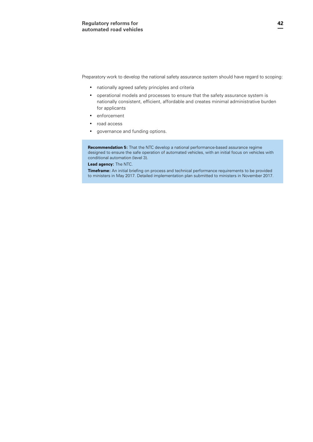Preparatory work to develop the national safety assurance system should have regard to scoping:

- nationally agreed safety principles and criteria
- operational models and processes to ensure that the safety assurance system is nationally consistent, efficient, affordable and creates minimal administrative burden for applicants
- enforcement
- road access
- governance and funding options.

**Recommendation 5:** That the NTC develop a national performance-based assurance regime designed to ensure the safe operation of automated vehicles, with an initial focus on vehicles with conditional automation (level 3).

#### **Lead agency:** The NTC.

**Timeframe:** An initial briefing on process and technical performance requirements to be provided to ministers in May 2017. Detailed implementation plan submitted to ministers in November 2017.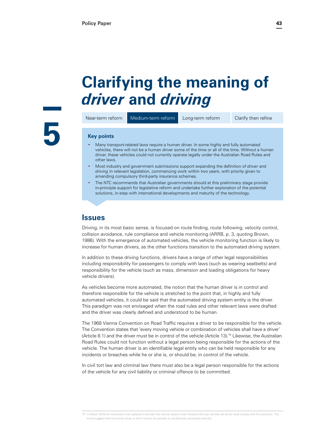# **Clarifying the meaning of**  *driver* **and** *driving*

Near-term reform Medium-term reform Long-term reform Clarify then refine

# **5**

#### **Key points**

- Many transport-related laws require a human driver. In some highly and fully automated vehicles, there will not be a human driver some of the time or all of the time. Without a human driver, these vehicles could not currently operate legally under the Australian Road Rules and other laws.
- Most industry and government submissions support expanding the definition of *driver* and *driving* in relevant legislation, commencing work within two years, with priority given to amending compulsory third-party insurance schemes.
- The NTC recommends that Australian governments should at this preliminary stage provide in-principle support for legislative reform and undertake further exploration of the potential solutions, in-step with international developments and maturity of the technology.

# **Issues**

Driving, in its most basic sense, is focused on route finding, route following, velocity control, collision avoidance, rule compliance and vehicle monitoring (ARRB, p. 3, quoting Brown, 1986). With the emergence of automated vehicles, the vehicle monitoring function is likely to increase for human drivers, as the other functions transition to the automated driving system.

In addition to these driving functions, drivers have a range of other legal responsibilities including responsibility for passengers to comply with laws (such as wearing seatbelts) and responsibility for the vehicle (such as mass, dimension and loading obligations for heavy vehicle drivers).

As vehicles become more automated, the notion that the human driver is in control and therefore responsible for the vehicle is stretched to the point that, in highly and fully automated vehicles, it could be said that the automated driving system entity is the driver. This paradigm was not envisaged when the road rules and other relevant laws were drafted and the driver was clearly defined and understood to be human.

The 1968 Vienna Convention on Road Traffic requires a driver to be responsible for the vehicle. The Convention states that 'every moving vehicle or combination of vehicles shall have a driver' (Article 8.1) and the driver must be in control of the vehicle (Article 13).10 Likewise, the Australian Road Rules could not function without a legal person being responsible for the actions of the vehicle. The human driver is an identifiable legal entity who can be held responsible for any incidents or breaches while he or she is, or should be, in control of the vehicle.

In civil tort law and criminal law there must also be a legal person responsible for the actions of the vehicle for any civil liability or criminal offence to be committed.

<sup>10</sup> In March 2016 the Convention was updated to provide that vehicle systems that influence the way vehicles are driven shall comply with this provision. This would suggest that the human driver is still in control for partially or conditionally automated vehicles.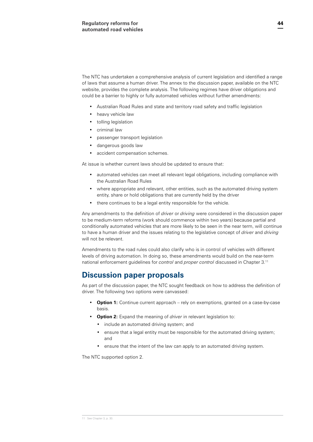The NTC has undertaken a comprehensive analysis of current legislation and identified a range of laws that assume a human driver. The annex to the discussion paper, available on the NTC website, provides the complete analysis. The following regimes have driver obligations and could be a barrier to highly or fully automated vehicles without further amendments:

- Australian Road Rules and state and territory road safety and traffic legislation
- heavy vehicle law
- tolling legislation
- criminal law
- passenger transport legislation
- dangerous goods law
- accident compensation schemes.

At issue is whether current laws should be updated to ensure that:

- automated vehicles can meet all relevant legal obligations, including compliance with the Australian Road Rules
- where appropriate and relevant, other entities, such as the automated driving system entity, share or hold obligations that are currently held by the driver
- there continues to be a legal entity responsible for the vehicle.

Any amendments to the definition of *driver* or *driving* were considered in the discussion paper to be medium-term reforms (work should commence within two years) because partial and conditionally automated vehicles that are more likely to be seen in the near term, will continue to have a human driver and the issues relating to the legislative concept of *driver* and *driving* will not be relevant.

Amendments to the road rules could also clarify who is in control of vehicles with different levels of driving automation. In doing so, these amendments would build on the near-term national enforcement guidelines for *control* and *proper control* discussed in Chapter 3.11

# **Discussion paper proposals**

As part of the discussion paper, the NTC sought feedback on how to address the definition of driver. The following two options were canvassed:

- **Option 1:** Continue current approach rely on exemptions, granted on a case-by-case basis.
- **Option 2:** Expand the meaning of *driver* in relevant legislation to:
	- include an automated driving system; and
	- ensure that a legal entity must be responsible for the automated driving system; and
	- ensure that the intent of the law can apply to an automated driving system.

The NTC supported option 2.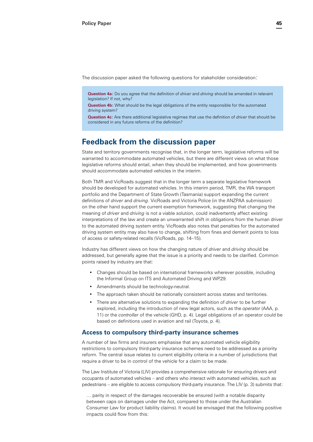The discussion paper asked the following questions for stakeholder consideration:

**Question 4a:** Do you agree that the definition of *driver* and *driving* should be amended in relevant legislation? If not, why?

**Question 4b:** What should be the legal obligations of the entity responsible for the automated driving system?

**Question 4c:** Are there additional legislative regimes that use the definition of *driver* that should be considered in any future reforms of the definition?

# **Feedback from the discussion paper**

State and territory governments recognise that, in the longer term, legislative reforms will be warranted to accommodate automated vehicles, but there are different views on what those legislative reforms should entail, when they should be implemented, and how governments should accommodate automated vehicles in the interim.

Both TMR and VicRoads suggest that in the longer term a separate legislative framework should be developed for automated vehicles. In this interim period, TMR, the WA transport portfolio and the Department of State Growth (Tasmania) support expanding the current definitions of *driver* and *driving*. VicRoads and Victoria Police (in the ANZPAA submission) on the other hand support the current exemption framework, suggesting that changing the meaning of *driver* and *driving* is not a viable solution, could inadvertently affect existing interpretations of the law and create an unwarranted shift in obligations from the human driver to the automated driving system entity. VicRoads also notes that penalties for the automated driving system entity may also have to change, shifting from fines and demerit points to loss of access or safety-related recalls (VicRoads, pp. 14–15).

Industry has different views on how the changing nature of *driver* and *driving* should be addressed, but generally agree that the issue is a priority and needs to be clarified. Common points raised by industry are that:

- Changes should be based on international frameworks wherever possible, including the Informal Group on ITS and Automated Driving and WP.29.
- Amendments should be technology-neutral.
- The approach taken should be nationally consistent across states and territories.
- There are alternative solutions to expanding the definition of *driver* to be further explored, including the introduction of new legal actors, such as the *operator* (AAA, p. 11) or the *controller* of the vehicle (GHD, p. 4). Legal obligations of an operator could be based on definitions used in aviation and rail (Toyota, p. 4).

#### **Access to compulsory third-party insurance schemes**

A number of law firms and insurers emphasise that any automated vehicle eligibility restrictions to compulsory third-party insurance schemes need to be addressed as a priority reform. The central issue relates to current eligibility criteria in a number of jurisdictions that require a driver to be in control of the vehicle for a claim to be made.

The Law Institute of Victoria (LIV) provides a comprehensive rationale for ensuring drivers and occupants of automated vehicles – and others who interact with automated vehicles, such as pedestrians – are eligible to access compulsory third-party insurance. The LIV (p. 3) submits that:

… parity in respect of the damages recoverable be ensured (with a notable disparity between caps on damages under the Act, compared to those under the Australian Consumer Law for product liability claims). It would be envisaged that the following positive impacts could flow from this: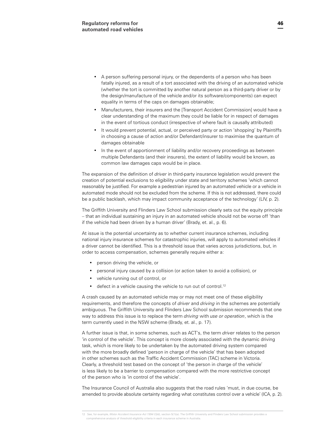- A person suffering personal injury, or the dependents of a person who has been fatally injured, as a result of a tort associated with the driving of an automated vehicle (whether the tort is committed by another natural person as a third-party driver or by the design/manufacture of the vehicle and/or its software/components) can expect equality in terms of the caps on damages obtainable;
- Manufacturers, their insurers and the [Transport Accident Commission] would have a clear understanding of the maximum they could be liable for in respect of damages in the event of tortious conduct (irrespective of where fault is causally attributed)
- It would prevent potential, actual, or perceived party or action 'shopping' by Plaintiffs in choosing a cause of action and/or Defendant/insurer to maximise the quantum of damages obtainable
- In the event of apportionment of liability and/or recovery proceedings as between multiple Defendants (and their insurers), the extent of liability would be known, as common law damages caps would be in place.

The expansion of the definition of *driver* in third-party insurance legislation would prevent the creation of potential exclusions to eligibility under state and territory schemes 'which cannot reasonably be justified. For example a pedestrian injured by an automated vehicle or a vehicle in automated mode should not be excluded from the scheme. If this is not addressed, there could be a public backlash, which may impact community acceptance of the technology' (LIV, p. 2).

The Griffith University and Flinders Law School submission clearly sets out the equity principle – that an individual sustaining an injury in an automated vehicle should not be worse off 'than if the vehicle had been driven by a human driver' (Brady, et. al., p. 6).

At issue is the potential uncertainty as to whether current insurance schemes, including national injury insurance schemes for catastrophic injuries, will apply to automated vehicles if a driver cannot be identified. This is a threshold issue that varies across jurisdictions, but, in order to access compensation, schemes generally require either a:

- person driving the vehicle, or
- personal injury caused by a collision (or action taken to avoid a collision), or
- vehicle running out of control, or
- defect in a vehicle causing the vehicle to run out of control.<sup>12</sup>

A crash caused by an automated vehicle may or may not meet one of these eligibility requirements, and therefore the concepts of *driver* and *driving* in the schemes are potentially ambiguous. The Griffith University and Flinders Law School submission recommends that one way to address this issue is to replace the term *driving* with *use or operation*, which is the term currently used in the NSW scheme (Brady, et. al., p. 17).

A further issue is that, in some schemes, such as ACT's, the term *driver* relates to the person 'in control of the vehicle'. This concept is more closely associated with the dynamic driving task, which is more likely to be undertaken by the automated driving system compared with the more broadly defined 'person in charge of the vehicle' that has been adopted in other schemes such as the Traffic Accident Commission (TAC) scheme in Victoria. Clearly, a threshold test based on the concept of 'the person in charge of the vehicle' is less likely to be a barrier to compensation compared with the more restrictive concept of the person who is 'in control of the vehicle'.

The Insurance Council of Australia also suggests that the road rules 'must, in due course, be amended to provide absolute certainty regarding what constitutes control over a vehicle' (ICA, p. 2).

<sup>12</sup> See, for example, *Motor Accident Insurance Act 1994* (Qld), section 5(1)(a). The Griffith University and Flinders Law School submission provides a comprehensive analysis of threshold eligibility criteria in each insurance sche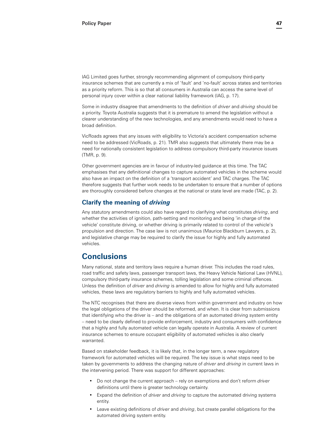IAG Limited goes further, strongly recommending alignment of compulsory third-party insurance schemes that are currently a mix of 'fault' and 'no-fault' across states and territories as a priority reform. This is so that all consumers in Australia can access the same level of personal injury cover within a clear national liability framework (IAG, p. 17).

Some in industry disagree that amendments to the definition of *driver* and *driving* should be a priority. Toyota Australia suggests that it is premature to amend the legislation without a clearer understanding of the new technologies, and any amendments would need to have a broad definition.

VicRoads agrees that any issues with eligibility to Victoria's accident compensation scheme need to be addressed (VicRoads, p. 21). TMR also suggests that ultimately there may be a need for nationally consistent legislation to address compulsory third-party insurance issues (TMR, p. 9).

Other government agencies are in favour of industry-led guidance at this time. The TAC emphasises that any definitional changes to capture automated vehicles in the scheme would also have an impact on the definition of a 'transport accident' and TAC charges. The TAC therefore suggests that further work needs to be undertaken to ensure that a number of options are thoroughly considered before changes at the national or state level are made (TAC, p. 2).

#### **Clarify the meaning of** *driving*

Any statutory amendments could also have regard to clarifying what constitutes *driving*, and whether the activities of ignition, path-setting and monitoring and being 'in charge of the vehicle' constitute driving, or whether driving is primarily related to control of the vehicle's propulsion and direction. The case law is not unanimous (Maurice Blackburn Lawyers, p. 2), and legislative change may be required to clarify the issue for highly and fully automated vehicles.

# **Conclusions**

Many national, state and territory laws require a human driver. This includes the road rules, road traffic and safety laws, passenger transport laws, the Heavy Vehicle National Law (HVNL), compulsory third-party insurance schemes, tolling legislation and some criminal offences. Unless the definition of *driver* and *driving* is amended to allow for highly and fully automated vehicles, these laws are regulatory barriers to highly and fully automated vehicles.

The NTC recognises that there are diverse views from within government and industry on how the legal obligations of the driver should be reformed, and when. It is clear from submissions that identifying who the driver is – and the obligations of an automated driving system entity – need to be clearly defined to provide enforcement, industry and consumers with confidence that a highly and fully automated vehicle can legally operate in Australia. A review of current insurance schemes to ensure occupant eligibility of automated vehicles is also clearly warranted.

Based on stakeholder feedback, it is likely that, in the longer term, a new regulatory framework for automated vehicles will be required. The key issue is what steps need to be taken by governments to address the changing nature of *driver* and *driving* in current laws in the intervening period. There was support for different approaches:

- Do not change the current approach rely on exemptions and don't reform *driver* definitions until there is greater technology certainty.
- Expand the definition of *driver* and *driving* to capture the automated driving systems entity.
- Leave existing definitions of *driver* and *driving*, but create parallel obligations for the automated driving system entity.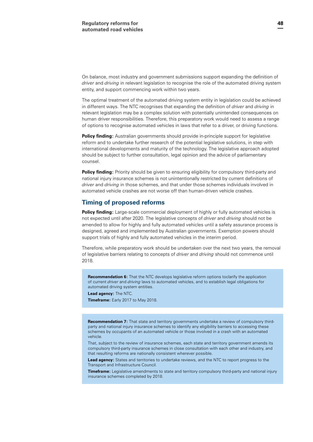On balance, most industry and government submissions support expanding the definition of *driver* and *driving* in relevant legislation to recognise the role of the automated driving system entity, and support commencing work within two years.

The optimal treatment of the automated driving system entity in legislation could be achieved in different ways. The NTC recognises that expanding the definition of *driver* and *driving* in relevant legislation may be a complex solution with potentially unintended consequences on human driver responsibilities. Therefore, this preparatory work would need to assess a range of options to recognise automated vehicles in laws that refer to a driver, or driving functions.

**Policy finding:** Australian governments should provide in-principle support for legislative reform and to undertake further research of the potential legislative solutions, in step with international developments and maturity of the technology. The legislative approach adopted should be subject to further consultation, legal opinion and the advice of parliamentary counsel.

**Policy finding:** Priority should be given to ensuring eligibility for compulsory third-party and national injury insurance schemes is not unintentionally restricted by current definitions of *driver* and *driving* in those schemes, and that under those schemes individuals involved in automated vehicle crashes are not worse off than human-driven vehicle crashes.

#### **Timing of proposed reforms**

**Policy finding:** Large-scale commercial deployment of highly or fully automated vehicles is not expected until after 2020. The legislative concepts of *driver* and *driving* should not be amended to allow for highly and fully automated vehicles until a safety assurance process is designed, agreed and implemented by Australian governments. Exemption powers should support trials of highly and fully automated vehicles in the interim period.

Therefore, while preparatory work should be undertaken over the next two years, the removal of legislative barriers relating to concepts of *driver* and *driving* should not commence until 2018.

**Recommendation 6:** That the NTC develops legislative reform options toclarify the application of current *driver* and *driving* laws to automated vehicles, and to establish legal obligations for automated driving system entities.

**Lead agency:** The NTC.

**Timeframe:** Early 2017 to May 2018.

**Recommendation 7:** That state and territory governments undertake a review of compulsory thirdparty and national injury insurance schemes to identify any eligibility barriers to accessing these schemes by occupants of an automated vehicle or those involved in a crash with an automated vehicle.

That, subject to the review of insurance schemes, each state and territory government amends its compulsory third-party insurance schemes in close consultation with each other and industry, and that resulting reforms are nationally consistent wherever possible.

**Lead agency:** States and territories to undertake reviews, and the NTC to report progress to the Transport and Infrastructure Council.

**Timeframe:** Legislative amendments to state and territory compulsory third-party and national injury insurance schemes completed by 2018.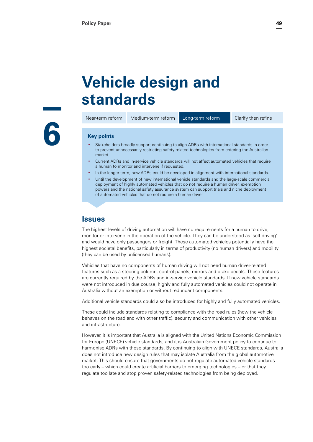# **Vehicle design and standards**

Near-term reform Medium-term reform Long-term reform Clarify then refine

# **6**

#### **Key points**

- Stakeholders broadly support continuing to align ADRs with international standards in order to prevent unnecessarily restricting safety-related technologies from entering the Australian market.
- Current ADRs and in-service vehicle standards will not affect automated vehicles that require a human to monitor and intervene if requested.
- In the longer term, new ADRs could be developed in alignment with international standards.
- Until the development of new international vehicle standards and the large-scale commercial deployment of highly automated vehicles that do not require a human driver, exemption powers and the national safety assurance system can support trials and niche deployment of automated vehicles that do not require a human driver.

# **Issues**

The highest levels of driving automation will have no requirements for a human to drive, monitor or intervene in the operation of the vehicle. They can be understood as 'self-driving' and would have only passengers or freight. These automated vehicles potentially have the highest societal benefits, particularly in terms of productivity (no human drivers) and mobility (they can be used by unlicensed humans).

Vehicles that have no components of human driving will not need human driver-related features such as a steering column, control panels, mirrors and brake pedals. These features are currently required by the ADRs and in-service vehicle standards. If new vehicle standards were not introduced in due course, highly and fully automated vehicles could not operate in Australia without an exemption or without redundant components.

Additional vehicle standards could also be introduced for highly and fully automated vehicles.

These could include standards relating to compliance with the road rules (how the vehicle behaves on the road and with other traffic), security and communication with other vehicles and infrastructure.

However, it is important that Australia is aligned with the United Nations Economic Commission for Europe (UNECE) vehicle standards, and it is Australian Government policy to continue to harmonise ADRs with these standards. By continuing to align with UNECE standards, Australia does not introduce new design rules that may isolate Australia from the global automotive market. This should ensure that governments do not regulate automated vehicle standards too early – which could create artificial barriers to emerging technologies – or that they regulate too late and stop proven safety-related technologies from being deployed.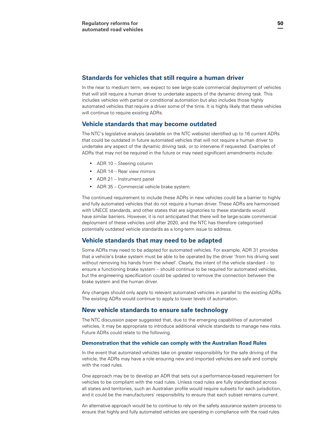#### **Standards for vehicles that still require a human driver**

In the near to medium term, we expect to see large-scale commercial deployment of vehicles that will still require a human driver to undertake aspects of the dynamic driving task. This includes vehicles with partial or conditional automation but also includes those highly automated vehicles that require a driver some of the time. It is highly likely that these vehicles will continue to require existing ADRs.

#### **Vehicle standards that may become outdated**

The NTC's legislative analysis (available on the NTC website) identified up to 16 current ADRs that could be outdated in future automated vehicles that will not require a human driver to undertake any aspect of the dynamic driving task, or to intervene if requested. Examples of ADRs that may not be required in the future or may need significant amendments include:

- ADR 10 Steering column
- ADR 14 Rear view mirrors
- ADR 21 Instrument panel
- ADR 35 Commercial vehicle brake system.

The continued requirement to include these ADRs in new vehicles could be a barrier to highly and fully automated vehicles that do not require a human driver. These ADRs are harmonised with UNECE standards, and other states that are signatories to these standards would have similar barriers. However, it is not anticipated that there will be large-scale commercial deployment of these vehicles until after 2020, and the NTC has therefore categorised potentially outdated vehicle standards as a long-term issue to address.

#### **Vehicle standards that may need to be adapted**

Some ADRs may need to be adapted for automated vehicles. For example, ADR 31 provides that a vehicle's brake system must be able to be operated by the driver 'from his driving seat without removing his hands from the wheel'. Clearly, the intent of the vehicle standard – to ensure a functioning brake system – should continue to be required for automated vehicles, but the engineering specification could be updated to remove the connection between the brake system and the human driver.

Any changes should only apply to relevant automated vehicles in parallel to the existing ADRs. The existing ADRs would continue to apply to lower levels of automation.

#### **New vehicle standards to ensure safe technology**

The NTC discussion paper suggested that, due to the emerging capabilities of automated vehicles, it may be appropriate to introduce additional vehicle standards to manage new risks. Future ADRs could relate to the following.

#### **Demonstration that the vehicle can comply with the Australian Road Rules**

In the event that automated vehicles take on greater responsibility for the safe driving of the vehicle, the ADRs may have a role ensuring new and imported vehicles are safe and comply with the road rules.

One approach may be to develop an ADR that sets out a performance-based requirement for vehicles to be compliant with the road rules. Unless road rules are fully standardised across all states and territories, such an Australian profile would require subsets for each jurisdiction, and it could be the manufacturers' responsibility to ensure that each subset remains current.

An alternative approach would be to continue to rely on the safety assurance system process to ensure that highly and fully automated vehicles are operating in compliance with the road rules.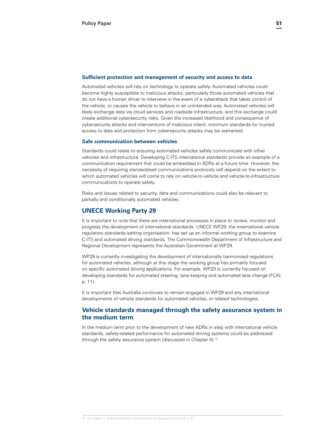#### **Sufficient protection and management of security and access to data**

Automated vehicles will rely on technology to operate safely. Automated vehicles could become highly susceptible to malicious attacks, particularly those automated vehicles that do not have a human driver to intervene in the event of a cyberattack that takes control of the vehicle, or causes the vehicle to behave in an unintended way. Automated vehicles will likely exchange data via cloud services and roadside infrastructure, and this exchange could create additional cybersecurity risks. Given the increased likelihood and consequence of cybersecurity attacks and interventions of malicious intent, minimum standards for trusted access to data and protection from cybersecurity attacks may be warranted.

#### **Safe communication between vehicles**

Standards could relate to ensuring automated vehicles safely communicate with other vehicles and infrastructure. Developing C-ITS international standards provide an example of a communication requirement that could be embedded in ADRs at a future time. However, the necessity of requiring standardised communications protocols will depend on the extent to which automated vehicles will come to rely on vehicle-to-vehicle and vehicle-to-infrastructure communications to operate safely.

Risks and issues related to security, data and communications could also be relevant to partially and conditionally automated vehicles.

#### **UNECE Working Party 29**

It is important to note that there are international processes in place to review, monitor and progress the development of international standards. UNECE WP.29, the international vehicle regulatory standards-setting organisation, has set up an informal working group to examine C-ITS and automated driving standards. The Commonwealth Department of Infrastructure and Regional Development represents the Australian Government at WP.29.

WP.29 is currently investigating the development of internationally harmonised regulations for automated vehicles, although at this stage the working group has primarily focused on specific automated driving applications. For example, WP.29 is currently focused on developing standards for automated steering, lane keeping and automated lane change (FCAI, p. 11).

It is important that Australia continues to remain engaged in WP.29 and any international developments of vehicle standards for automated vehicles, or related technologies.

#### **Vehicle standards managed through the safety assurance system in the medium term**

In the medium term prior to the development of new ADRs in step with international vehicle standards, safety-related performance for automated driving systems could be addressed through the safety assurance system (discussed in Chapter 4).13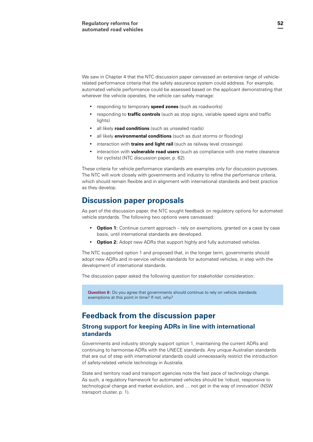We saw in Chapter 4 that the NTC discussion paper canvassed an extensive range of vehiclerelated performance criteria that the safety assurance system could address. For example, automated vehicle performance could be assessed based on the applicant demonstrating that wherever the vehicle operates, the vehicle can safely manage:

- responding to temporary **speed zones** (such as roadworks)
- responding to **traffic controls** (such as stop signs, variable speed signs and traffic lights)
- all likely **road conditions** (such as unsealed roads)
- all likely **environmental conditions** (such as dust storms or flooding)
- interaction with **trains and light rail** (such as railway level crossings)
- interaction with **vulnerable road users** (such as compliance with one metre clearance for cyclists) (NTC discussion paper, p. 62).

These criteria for vehicle performance standards are examples only for discussion purposes. The NTC will work closely with governments and industry to refine the performance criteria, which should remain flexible and in alignment with international standards and best practice as they develop.

## **Discussion paper proposals**

As part of the discussion paper, the NTC sought feedback on regulatory options for automated vehicle standards. The following two options were canvassed:

- **Option 1:** Continue current approach rely on exemptions, granted on a case by case basis, until international standards are developed.
- **Option 2:** Adopt new ADRs that support highly and fully automated vehicles.

The NTC supported option 1 and proposed that, in the longer term, governments should adopt new ADRs and in-service vehicle standards for automated vehicles, in step with the development of international standards.

The discussion paper asked the following question for stakeholder consideration:

**Question 6:** Do you agree that governments should continue to rely on vehicle standards exemptions at this point in time? If not, why?

# **Feedback from the discussion paper**

#### **Strong support for keeping ADRs in line with international standards**

Governments and industry strongly support option 1, maintaining the current ADRs and continuing to harmonise ADRs with the UNECE standards. Any unique Australian standards that are out of step with international standards could unnecessarily restrict the introduction of safety-related vehicle technology in Australia.

State and territory road and transport agencies note the fast pace of technology change. As such, a regulatory framework for automated vehicles should be 'robust, responsive to technological change and market evolution, and … not get in the way of innovation' (NSW transport cluster, p. 1).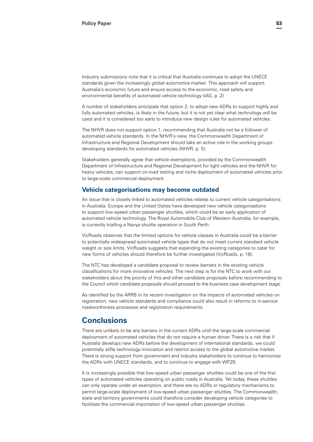Industry submissions note that it is critical that Australia continues to adopt the UNECE standards given the increasingly global automotive market. This approach will support Australia's economic future and ensure access to the economic, road safety and environmental benefits of automated vehicle technology (IAG, p. 2).

A number of stakeholders anticipate that option 2, to adopt new ADRs to support highly and fully automated vehicles, is likely in the future, but it is not yet clear what technology will be used and it is considered too early to introduce new design rules for automated vehicles.

The NHVR does not support option 1, recommending that Australia not be a follower of automated vehicle standards. In the NHVR's view, the Commonwealth Department of Infrastructure and Regional Development should take an active role in the working groups developing standards for automated vehicles (NHVR, p. 5).

Stakeholders generally agree that vehicle exemptions, provided by the Commonwealth Department of Infrastructure and Regional Development for light vehicles and the NHVR for heavy vehicles, can support on-road testing and niche deployment of automated vehicles prior to large-scale commercial deployment.

#### **Vehicle categorisations may become outdated**

An issue that is closely linked to automated vehicles relates to current vehicle categorisations in Australia. Europe and the United States have developed new vehicle categorisations to support low-speed urban passenger shuttles, which could be an early application of automated vehicle technology. The Royal Automobile Club of Western Australia, for example, is currently trialling a Navya shuttle operation in South Perth.

VicRoads observes that the limited options for vehicle classes in Australia could be a barrier to potentially widespread automated vehicle types that do not meet current standard vehicle weight or size limits. VicRoads suggests that expanding the existing categories to cater for new forms of vehicles should therefore be further investigated (VicRoads, p. 18).

The NTC has developed a candidate proposal to review barriers in the existing vehicle classifications for more innovative vehicles. The next step is for the NTC to work with our stakeholders about the priority of this and other candidate proposals before recommending to the Council which candidate proposals should proceed to the business case development stage.

As identified by the ARRB in its recent investigation on the impacts of automated vehicles on registration, new vehicle standards and compliance could also result in reforms to in-service roadworthiness processes and registration requirements.

# **Conclusions**

There are unlikely to be any barriers in the current ADRs until the large-scale commercial deployment of automated vehicles that do not require a human driver. There is a risk that if Australia develops new ADRs before the development of international standards, we could potentially stifle technology innovation and restrict access to the global automotive market. There is strong support from government and industry stakeholders to continue to harmonise the ADRs with UNECE standards, and to continue to engage with WP.29.

It is increasingly possible that low-speed urban passenger shuttles could be one of the first types of automated vehicles operating on public roads in Australia. Yet today, these shuttles can only operate under an exemption, and there are no ADRs or regulatory mechanisms to permit large-scale deployment of low-speed urban passenger shuttles. The Commonwealth, state and territory governments could therefore consider developing vehicle categories to facilitate the commercial importation of low-speed urban passenger shuttles.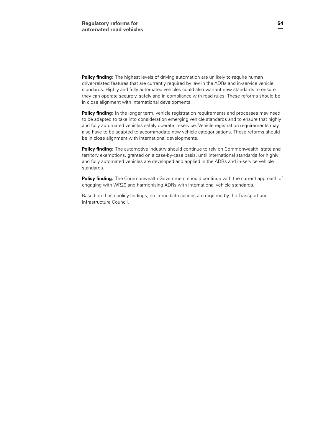Policy finding: The highest levels of driving automation are unlikely to require human driver-related features that are currently required by law in the ADRs and in-service vehicle standards. Highly and fully automated vehicles could also warrant new standards to ensure they can operate securely, safely and in compliance with road rules. These reforms should be in close alignment with international developments.

**Policy finding:** In the longer term, vehicle registration requirements and processes may need to be adapted to take into consideration emerging vehicle standards and to ensure that highly and fully automated vehicles safely operate in-service. Vehicle registration requirements may also have to be adapted to accommodate new vehicle categorisations. These reforms should be in close alignment with international developments.

**Policy finding:** The automotive industry should continue to rely on Commonwealth, state and territory exemptions, granted on a case-by-case basis, until international standards for highly and fully automated vehicles are developed and applied in the ADRs and in-service vehicle standards.

**Policy finding:** The Commonwealth Government should continue with the current approach of engaging with WP.29 and harmonising ADRs with international vehicle standards.

Based on these policy findings, no immediate actions are required by the Transport and Infrastructure Council.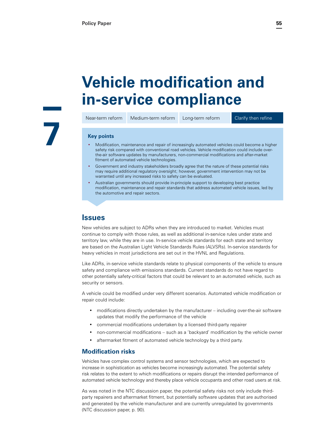# **Vehicle modification and in-service compliance**

Near-term reform Medium-term reform Long-term reform Clarify then refine

#### **Key points**

**7**

- Modification, maintenance and repair of increasingly automated vehicles could become a higher safety risk compared with conventional road vehicles. Vehicle modification could include overthe-air software updates by manufacturers, non-commercial modifications and after-market fitment of automated vehicle technologies.
- Government and industry stakeholders broadly agree that the nature of these potential risks may require additional regulatory oversight; however, government intervention may not be warranted until any increased risks to safety can be evaluated.
- Australian governments should provide in-principle support to developing best practice modification, maintenance and repair standards that address automated vehicle issues, led by the automotive and repair sectors.

### **Issues**

New vehicles are subject to ADRs when they are introduced to market. Vehicles must continue to comply with those rules, as well as additional in-service rules under state and territory law, while they are in use. In-service vehicle standards for each state and territory are based on the Australian Light Vehicle Standards Rules (ALVSRs). In-service standards for heavy vehicles in most jurisdictions are set out in the HVNL and Regulations.

Like ADRs, in-service vehicle standards relate to physical components of the vehicle to ensure safety and compliance with emissions standards. Current standards do not have regard to other potentially safety-critical factors that could be relevant to an automated vehicle, such as security or sensors.

A vehicle could be modified under very different scenarios. Automated vehicle modification or repair could include:

- modifications directly undertaken by the manufacturer including over-the-air software updates that modify the performance of the vehicle
- commercial modifications undertaken by a licensed third-party repairer
- non-commercial modifications such as a 'backyard' modification by the vehicle owner
- aftermarket fitment of automated vehicle technology by a third party.

#### **Modification risks**

Vehicles have complex control systems and sensor technologies, which are expected to increase in sophistication as vehicles become increasingly automated. The potential safety risk relates to the extent to which modifications or repairs disrupt the intended performance of automated vehicle technology and thereby place vehicle occupants and other road users at risk.

As was noted in the NTC discussion paper, the potential safety risks not only include thirdparty repairers and aftermarket fitment, but potentially software updates that are authorised and generated by the vehicle manufacturer and are currently unregulated by governments (NTC discussion paper, p. 90).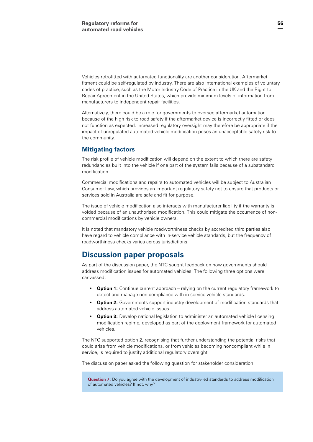Vehicles retrofitted with automated functionality are another consideration. Aftermarket fitment could be self-regulated by industry. There are also international examples of voluntary codes of practice, such as the Motor Industry Code of Practice in the UK and the Right to Repair Agreement in the United States, which provide minimum levels of information from manufacturers to independent repair facilities.

Alternatively, there could be a role for governments to oversee aftermarket automation because of the high risk to road safety if the aftermarket device is incorrectly fitted or does not function as expected. Increased regulatory oversight may therefore be appropriate if the impact of unregulated automated vehicle modification poses an unacceptable safety risk to the community.

#### **Mitigating factors**

The risk profile of vehicle modification will depend on the extent to which there are safety redundancies built into the vehicle if one part of the system fails because of a substandard modification.

Commercial modifications and repairs to automated vehicles will be subject to Australian Consumer Law, which provides an important regulatory safety net to ensure that products or services sold in Australia are safe and fit for purpose.

The issue of vehicle modification also interacts with manufacturer liability if the warranty is voided because of an unauthorised modification. This could mitigate the occurrence of noncommercial modifications by vehicle owners.

It is noted that mandatory vehicle roadworthiness checks by accredited third parties also have regard to vehicle compliance with in-service vehicle standards, but the frequency of roadworthiness checks varies across jurisdictions.

# **Discussion paper proposals**

As part of the discussion paper, the NTC sought feedback on how governments should address modification issues for automated vehicles. The following three options were canvassed:

- **Option 1:** Continue current approach relying on the current regulatory framework to detect and manage non-compliance with in-service vehicle standards.
- **Option 2:** Governments support industry development of modification standards that address automated vehicle issues.
- **Option 3:** Develop national legislation to administer an automated vehicle licensing modification regime, developed as part of the deployment framework for automated vehicles.

The NTC supported option 2, recognising that further understanding the potential risks that could arise from vehicle modifications, or from vehicles becoming noncompliant while in service, is required to justify additional regulatory oversight.

The discussion paper asked the following question for stakeholder consideration:

**Question 7:** Do you agree with the development of industry-led standards to address modification of automated vehicles? If not, why?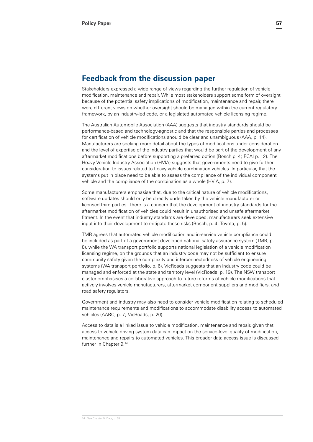# **Feedback from the discussion paper**

Stakeholders expressed a wide range of views regarding the further regulation of vehicle modification, maintenance and repair. While most stakeholders support some form of oversight because of the potential safety implications of modification, maintenance and repair, there were different views on whether oversight should be managed within the current regulatory framework, by an industry-led code, or a legislated automated vehicle licensing regime.

The Australian Automobile Association (AAA) suggests that industry standards should be performance-based and technology-agnostic and that the responsible parties and processes for certification of vehicle modifications should be clear and unambiguous (AAA, p. 14). Manufacturers are seeking more detail about the types of modifications under consideration and the level of expertise of the industry parties that would be part of the development of any aftermarket modifications before supporting a preferred option (Bosch p. 4; FCAI p. 12). The Heavy Vehicle Industry Association (HVIA) suggests that governments need to give further consideration to issues related to heavy vehicle combination vehicles. In particular, that the systems put in place need to be able to assess the compliance of the individual component vehicle and the compliance of the combination as a whole (HVIA, p. 7).

Some manufacturers emphasise that, due to the critical nature of vehicle modifications, software updates should only be directly undertaken by the vehicle manufacturer or licensed third parties. There is a concern that the development of industry standards for the aftermarket modification of vehicles could result in unauthorised and unsafe aftermarket fitment. In the event that industry standards are developed, manufacturers seek extensive input into their development to mitigate these risks (Bosch, p. 4; Toyota, p. 5).

TMR agrees that automated vehicle modification and in-service vehicle compliance could be included as part of a government-developed national safety assurance system (TMR, p. 8), while the WA transport portfolio supports national legislation of a vehicle modification licensing regime, on the grounds that an industry code may not be sufficient to ensure community safety given the complexity and interconnectedness of vehicle engineering systems (WA transport portfolio, p. 6). VicRoads suggests that an industry code could be managed and enforced at the state and territory level (VicRoads, p. 19). The NSW transport cluster emphasises a collaborative approach to future reforms of vehicle modifications that actively involves vehicle manufacturers, aftermarket component suppliers and modifiers, and road safety regulators.

Government and industry may also need to consider vehicle modification relating to scheduled maintenance requirements and modifications to accommodate disability access to automated vehicles (AARC, p. 7; VicRoads, p. 20).

Access to data is a linked issue to vehicle modification, maintenance and repair, given that access to vehicle driving system data can impact on the service-level quality of modification, maintenance and repairs to automated vehicles. This broader data access issue is discussed further in Chapter 9.14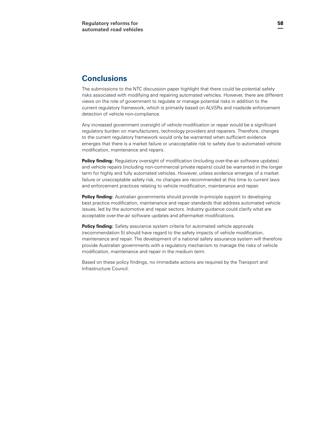# **Conclusions**

The submissions to the NTC discussion paper highlight that there could be potential safety risks associated with modifying and repairing automated vehicles. However, there are different views on the role of government to regulate or manage potential risks in addition to the current regulatory framework, which is primarily based on ALVSRs and roadside enforcement detection of vehicle non-compliance.

Any increased government oversight of vehicle modification or repair would be a significant regulatory burden on manufacturers, technology providers and repairers. Therefore, changes to the current regulatory framework would only be warranted when sufficient evidence emerges that there is a market failure or unacceptable risk to safety due to automated vehicle modification, maintenance and repairs.

**Policy finding:** Regulatory oversight of modification (including over-the-air software updates) and vehicle repairs (including non-commercial private repairs) could be warranted in the longer term for highly and fully automated vehicles. However, unless evidence emerges of a market failure or unacceptable safety risk, no changes are recommended at this time to current laws and enforcement practices relating to vehicle modification, maintenance and repair.

**Policy finding:** Australian governments should provide in-principle support to developing best practice modification, maintenance and repair standards that address automated vehicle issues, led by the automotive and repair sectors. Industry guidance could clarify what are acceptable over-the-air software updates and aftermarket modifications.

**Policy finding:** Safety assurance system criteria for automated vehicle approvals (recommendation 5) should have regard to the safety impacts of vehicle modification, maintenance and repair. The development of a national safety assurance system will therefore provide Australian governments with a regulatory mechanism to manage the risks of vehicle modification, maintenance and repair in the medium term.

Based on these policy findings, no immediate actions are required by the Transport and Infrastructure Council.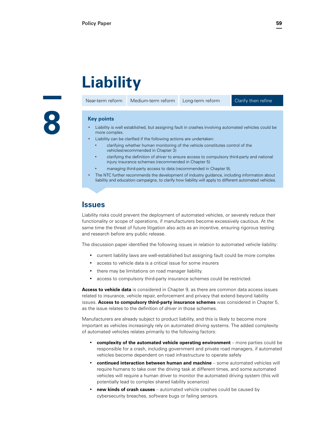# **Liability**

Near-term reform Medium-term reform Long-term reform Clarify then refine



#### **Key points**

- Liability is well established, but assigning fault in crashes involving automated vehicles could be more complex.
- Liability can be clarified if the following actions are undertaken:
	- clarifying whether human monitoring of the vehicle constitutes control of the vehicles(recommended in Chapter 3)
	- clarifying the definition of *driver* to ensure access to compulsory third-party and national injury insurance schemes (recommended in Chapter 5)
	- managing third-party access to data (recommended in Chapter 9).
- The NTC further recommends the development of industry guidance, including information about liability and education campaigns, to clarify how liability will apply to different automated vehicles.

# **Issues**

Liability risks could prevent the deployment of automated vehicles, or severely reduce their functionality or scope of operations, if manufacturers become excessively cautious. At the same time the threat of future litigation also acts as an incentive, ensuring rigorous testing and research before any public release.

The discussion paper identified the following issues in relation to automated vehicle liability:

- current liability laws are well-established but assigning fault could be more complex
- access to vehicle data is a critical issue for some insurers
- there may be limitations on road manager liability.
- access to compulsory third-party insurance schemes could be restricted.

**Access to vehicle data** is considered in Chapter 9, as there are common data access issues related to insurance, vehicle repair, enforcement and privacy that extend beyond liability issues. **Access to compulsory third-party insurance schemes** was considered in Chapter 5, as the issue relates to the definition of *driver* in those schemes.

Manufacturers are already subject to product liability, and this is likely to become more important as vehicles increasingly rely on automated driving systems. The added complexity of automated vehicles relates primarily to the following factors:

- **complexity of the automated vehicle operating environment**  more parties could be responsible for a crash, including government and private road managers, if automated vehicles become dependent on road infrastructure to operate safely
- **continued interaction between human and machine**  some automated vehicles will require humans to take over the driving task at different times, and some automated vehicles will require a human driver to monitor the automated driving system (this will potentially lead to complex shared liability scenarios)
- **new kinds of crash causes**  automated vehicle crashes could be caused by cybersecurity breaches, software bugs or failing sensors.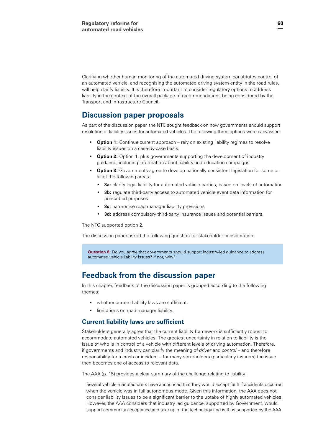Clarifying whether human monitoring of the automated driving system constitutes control of an automated vehicle, and recognising the automated driving system entity in the road rules, will help clarify liability. It is therefore important to consider regulatory options to address liability in the context of the overall package of recommendations being considered by the Transport and Infrastructure Council.

# **Discussion paper proposals**

As part of the discussion paper, the NTC sought feedback on how governments should support resolution of liability issues for automated vehicles. The following three options were canvassed:

- **Option 1:** Continue current approach rely on existing liability regimes to resolve liability issues on a case-by-case basis.
- **Option 2:** Option 1, plus governments supporting the development of industry guidance, including information about liability and education campaigns.
- **Option 3:** Governments agree to develop nationally consistent legislation for some or all of the following areas:
	- **3a:** clarify legal liability for automated vehicle parties, based on levels of automation
	- **3b:** regulate third-party access to automated vehicle event data information for prescribed purposes
	- **3c:** harmonise road manager liability provisions
	- **3d:** address compulsory third-party insurance issues and potential barriers.

The NTC supported option 2.

The discussion paper asked the following question for stakeholder consideration:

**Question 8:** Do you agree that governments should support industry-led guidance to address automated vehicle liability issues? If not, why?

# **Feedback from the discussion paper**

In this chapter, feedback to the discussion paper is grouped according to the following themes:

- whether current liability laws are sufficient.
- limitations on road manager liability.

#### **Current liability laws are sufficient**

Stakeholders generally agree that the current liability framework is sufficiently robust to accommodate automated vehicles. The greatest uncertainty in relation to liability is the issue of who is in control of a vehicle with different levels of driving automation. Therefore, if governments and industry can clarify the meaning of *driver* and *control* – and therefore responsibility for a crash or incident – for many stakeholders (particularly insurers) the issue then becomes one of access to relevant data.

The AAA (p. 15) provides a clear summary of the challenge relating to liability:

Several vehicle manufacturers have announced that they would accept fault if accidents occurred when the vehicle was in full autonomous mode. Given this information, the AAA does not consider liability issues to be a significant barrier to the uptake of highly automated vehicles. However, the AAA considers that industry led guidance, supported by Government, would support community acceptance and take up of the technology and is thus supported by the AAA.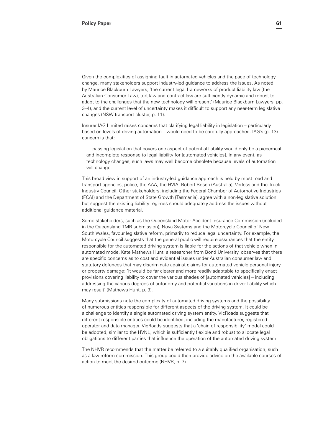Given the complexities of assigning fault in automated vehicles and the pace of technology change, many stakeholders support industry-led guidance to address the issues. As noted by Maurice Blackburn Lawyers, 'the current legal frameworks of product liability law (the Australian Consumer Law), tort law and contract law are sufficiently dynamic and robust to adapt to the challenges that the new technology will present' (Maurice Blackburn Lawyers, pp. 3–4), and the current level of uncertainty makes it difficult to support any near-term legislative changes (NSW transport cluster, p. 11).

Insurer IAG Limited raises concerns that clarifying legal liability in legislation – particularly based on levels of driving automation – would need to be carefully approached. IAG's (p. 13) concern is that:

… passing legislation that covers one aspect of potential liability would only be a piecemeal and incomplete response to legal liability for [automated vehicles]. In any event, as technology changes, such laws may well become obsolete because levels of automation will change.

This broad view in support of an industry-led guidance approach is held by most road and transport agencies, police, the AAA, the HVIA, Robert Bosch (Australia), Verless and the Truck Industry Council. Other stakeholders, including the Federal Chamber of Automotive Industries (FCAI) and the Department of State Growth (Tasmania), agree with a non-legislative solution but suggest the existing liability regimes should adequately address the issues without additional guidance material.

Some stakeholders, such as the Queensland Motor Accident Insurance Commission (included in the Queensland TMR submission), Nova Systems and the Motorcycle Council of New South Wales, favour legislative reform, primarily to reduce legal uncertainty. For example, the Motorcycle Council suggests that the general public will require assurances that the entity responsible for the automated driving system is liable for the actions of that vehicle when in automated mode. Kate Mathews Hunt, a researcher from Bond University, observes that there are specific concerns as to cost and evidential issues under Australian consumer law and statutory defences that may discriminate against claims for automated vehicle personal injury or property damage: 'it would be far clearer and more readily adaptable to specifically enact provisions covering liability to cover the various shades of [automated vehicles] – including addressing the various degrees of autonomy and potential variations in driver liability which may result' (Mathews Hunt, p. 9).

Many submissions note the complexity of automated driving systems and the possibility of numerous entities responsible for different aspects of the driving system. It could be a challenge to identify a single automated driving system entity. VicRoads suggests that different responsible entities could be identified, including the manufacturer, registered operator and data manager. VicRoads suggests that a 'chain of responsibility' model could be adopted, similar to the HVNL, which is sufficiently flexible and robust to allocate legal obligations to different parties that influence the operation of the automated driving system.

The NHVR recommends that the matter be referred to a suitably qualified organisation, such as a law reform commission. This group could then provide advice on the available courses of action to meet the desired outcome (NHVR, p. 7).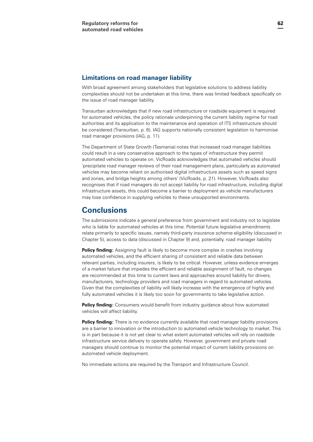#### **Limitations on road manager liability**

With broad agreement among stakeholders that legislative solutions to address liability complexities should not be undertaken at this time, there was limited feedback specifically on the issue of road manager liability.

Transurban acknowledges that if new road infrastructure or roadside equipment is required for automated vehicles, the policy rationale underpinning the current liability regime for road authorities and its application to the maintenance and operation of ITS infrastructure should be considered (Transurban, p. 6). IAG supports nationally consistent legislation to harmonise road manager provisions (IAG, p. 11).

The Department of State Growth (Tasmania) notes that increased road manager liabilities could result in a very conservative approach to the types of infrastructure they permit automated vehicles to operate on. VicRoads acknowledges that automated vehicles should 'precipitate road manager reviews of their road management plans, particularly as automated vehicles may become reliant on authorised digital infrastructure assets such as speed signs and zones, and bridge heights among others' (VicRoads, p. 21). However, VicRoads also recognises that if road managers do not accept liability for road infrastructure, including digital infrastructure assets, this could become a barrier to deployment as vehicle manufacturers may lose confidence in supplying vehicles to these unsupported environments.

# **Conclusions**

The submissions indicate a general preference from government and industry not to legislate who is liable for automated vehicles at this time. Potential future legislative amendments relate primarily to specific issues, namely third-party insurance scheme eligibility (discussed in Chapter 5), access to data (discussed in Chapter 9) and, potentially, road manager liability.

**Policy finding:** Assigning fault is likely to become more complex in crashes involving automated vehicles, and the efficient sharing of consistent and reliable data between relevant parties, including insurers, is likely to be critical. However, unless evidence emerges of a market failure that impedes the efficient and reliable assignment of fault, no changes are recommended at this time to current laws and approaches around liability for drivers, manufacturers, technology providers and road managers in regard to automated vehicles. Given that the complexities of liability will likely increase with the emergence of highly and fully automated vehicles it is likely too soon for governments to take legislative action.

**Policy finding:** Consumers would benefit from industry guidance about how automated vehicles will affect liability.

**Policy finding:** There is no evidence currently available that road manager liability provisions are a barrier to innovation or the introduction to automated vehicle technology to market. This is in part because it is not yet clear to what extent automated vehicles will rely on roadside infrastructure service delivery to operate safely. However, government and private road managers should continue to monitor the potential impact of current liability provisions on automated vehicle deployment.

No immediate actions are required by the Transport and Infrastructure Council.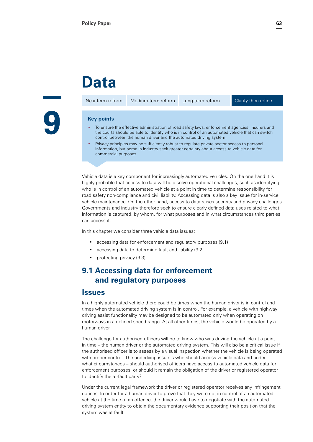# **Data**

Near-term reform Medium-term reform Long-term reform Clarify then refine



#### **Key points**

- To ensure the effective administration of road safety laws, enforcement agencies, insurers and the courts should be able to identify who is in control of an automated vehicle that can switch control between the human driver and the automated driving system.
- Privacy principles may be sufficiently robust to regulate private sector access to personal information, but some in industry seek greater certainty about access to vehicle data for commercial purposes.

Vehicle data is a key component for increasingly automated vehicles. On the one hand it is highly probable that access to data will help solve operational challenges, such as identifying who is in control of an automated vehicle at a point in time to determine responsibility for road safety non-compliance and civil liability. Accessing data is also a key issue for in-service vehicle maintenance. On the other hand, access to data raises security and privacy challenges. Governments and industry therefore seek to ensure clearly defined data uses related to what information is captured, by whom, for what purposes and in what circumstances third parties can access it.

In this chapter we consider three vehicle data issues:

- accessing data for enforcement and regulatory purposes (9.1)
- accessing data to determine fault and liability (9.2)
- protecting privacy (9.3).

# **9.1 Accessing data for enforcement and regulatory purposes**

#### **Issues**

In a highly automated vehicle there could be times when the human driver is in control and times when the automated driving system is in control. For example, a vehicle with highway driving assist functionality may be designed to be automated only when operating on motorways in a defined speed range. At all other times, the vehicle would be operated by a human driver.

The challenge for authorised officers will be to know who was driving the vehicle at a point in time – the human driver or the automated driving system. This will also be a critical issue if the authorised officer is to assess by a visual inspection whether the vehicle is being operated with proper control. The underlying issue is who should access vehicle data and under what circumstances – should authorised officers have access to automated vehicle data for enforcement purposes, or should it remain the obligation of the driver or registered operator to identify the at-fault party?

Under the current legal framework the driver or registered operator receives any infringement notices. In order for a human driver to prove that they were not in control of an automated vehicle at the time of an offence, the driver would have to negotiate with the automated driving system entity to obtain the documentary evidence supporting their position that the system was at fault.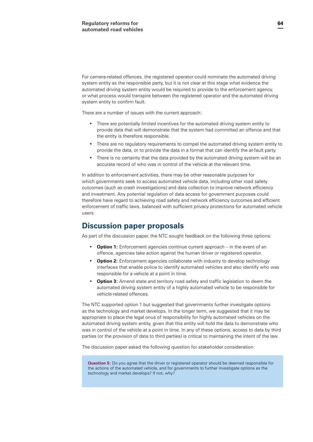For camera-related offences, the registered operator could nominate the automated driving system entity as the responsible party, but it is not clear at this stage what evidence the automated driving system entity would be required to provide to the enforcement agency, or what process would transpire between the registered operator and the automated driving system entity to confirm fault.

There are a number of issues with the current approach:

- There are potentially limited incentives for the automated driving system entity to provide data that will demonstrate that the system had committed an offence and that the entity is therefore responsible.
- There are no regulatory requirements to compel the automated driving system entity to provide the data, or to provide the data in a format that can identify the at-fault party.
- There is no certainty that the data provided by the automated driving system will be an accurate record of who was in control of the vehicle at the relevant time.

In addition to enforcement activities, there may be other reasonable purposes for which governments seek to access automated vehicle data, including other road safety outcomes (such as crash investigations) and data collection to improve network efficiency and investment. Any potential regulation of data access for government purposes could therefore have regard to achieving road safety and network efficiency outcomes and efficient enforcement of traffic laws, balanced with sufficient privacy protections for automated vehicle users.

# **Discussion paper proposals**

As part of the discussion paper, the NTC sought feedback on the following three options:

- **Option 1:** Enforcement agencies continue current approach in the event of an offence, agencies take action against the human driver or registered operator.
- **Option 2:** Enforcement agencies collaborate with industry to develop technology interfaces that enable police to identify automated vehicles and also identify who was responsible for a vehicle at a point in time.
- **Option 3:** Amend state and territory road safety and traffic legislation to deem the automated driving system entity of a highly automated vehicle to be responsible for vehicle-related offences.

The NTC supported option 1 but suggested that governments further investigate options as the technology and market develops. In the longer term, we suggested that it may be appropriate to place the legal onus of responsibility for highly automated vehicles on the automated driving system entity, given that this entity will hold the data to demonstrate who was in control of the vehicle at a point in time. In any of these options, access to data by third parties (or the provision of data to third parties) is critical to maintaining the intent of the law.

The discussion paper asked the following question for stakeholder consideration:

**Question 5:** Do you agree that the driver or registered operator should be deemed responsible for the actions of the automated vehicle, and for governments to further investigate options as the technology and market develops? If not, why?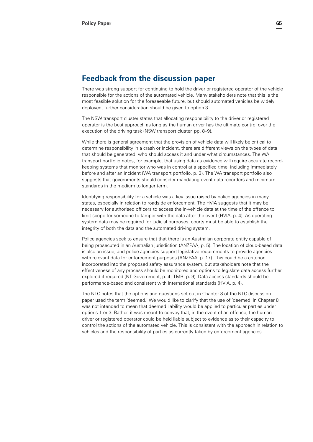# **Feedback from the discussion paper**

There was strong support for continuing to hold the driver or registered operator of the vehicle responsible for the actions of the automated vehicle. Many stakeholders note that this is the most feasible solution for the foreseeable future, but should automated vehicles be widely deployed, further consideration should be given to option 3.

The NSW transport cluster states that allocating responsibility to the driver or registered operator is the best approach as long as the human driver has the ultimate control over the execution of the driving task (NSW transport cluster, pp. 8–9).

While there is general agreement that the provision of vehicle data will likely be critical to determine responsibility in a crash or incident, there are different views on the types of data that should be generated, who should access it and under what circumstances. The WA transport portfolio notes, for example, that using data as evidence will require accurate recordkeeping systems that monitor who was in control at a specified time, including immediately before and after an incident (WA transport portfolio, p. 3). The WA transport portfolio also suggests that governments should consider mandating event data recorders and minimum standards in the medium to longer term.

Identifying responsibility for a vehicle was a key issue raised by police agencies in many states, especially in relation to roadside enforcement. The HVIA suggests that it may be necessary for authorised officers to access the in-vehicle data at the time of the offence to limit scope for someone to tamper with the data after the event (HVIA, p. 4). As operating system data may be required for judicial purposes, courts must be able to establish the integrity of both the data and the automated driving system.

Police agencies seek to ensure that that there is an Australian corporate entity capable of being prosecuted in an Australian jurisdiction (ANZPAA, p. 5). The location of cloud-based data is also an issue, and police agencies support legislative requirements to provide agencies with relevant data for enforcement purposes (ANZPAA, p. 17). This could be a criterion incorporated into the proposed safety assurance system, but stakeholders note that the effectiveness of any process should be monitored and options to legislate data access further explored if required (NT Government, p. 4; TMR, p. 9). Data access standards should be performance-based and consistent with international standards (HVIA, p. 4).

The NTC notes that the options and questions set out in Chapter 8 of the NTC discussion paper used the term 'deemed.' We would like to clarify that the use of 'deemed' in Chapter 8 was not intended to mean that deemed liability would be applied to particular parties under options 1 or 3. Rather, it was meant to convey that, in the event of an offence, the human driver or registered operator could be held liable subject to evidence as to their capacity to control the actions of the automated vehicle. This is consistent with the approach in relation to vehicles and the responsibility of parties as currently taken by enforcement agencies.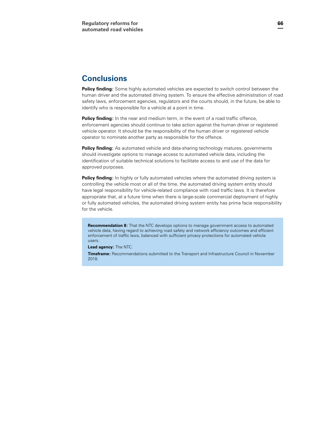# **Conclusions**

**Policy finding:** Some highly automated vehicles are expected to switch control between the human driver and the automated driving system. To ensure the effective administration of road safety laws, enforcement agencies, regulators and the courts should, in the future, be able to identify who is responsible for a vehicle at a point in time.

**Policy finding:** In the near and medium term, in the event of a road traffic offence, enforcement agencies should continue to take action against the human driver or registered vehicle operator. It should be the responsibility of the human driver or registered vehicle operator to nominate another party as responsible for the offence.

**Policy finding:** As automated vehicle and data-sharing technology matures, governments should investigate options to manage access to automated vehicle data, including the identification of suitable technical solutions to facilitate access to and use of the data for approved purposes.

**Policy finding:** In highly or fully automated vehicles where the automated driving system is controlling the vehicle most or all of the time, the automated driving system entity should have legal responsibility for vehicle-related compliance with road traffic laws. It is therefore appropriate that, at a future time when there is large-scale commercial deployment of highly or fully automated vehicles, the automated driving system entity has prima facie responsibility for the vehicle.

**Recommendation 8:** That the NTC develops options to manage government access to automated vehicle data, having regard to achieving road safety and network efficiency outcomes and efficient enforcement of traffic laws, balanced with sufficient privacy protections for automated vehicle users.

#### **Lead agency:** The NTC.

**Timeframe:** Recommendations submitted to the Transport and Infrastructure Council in November 2018.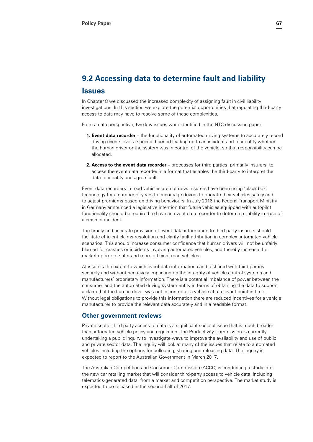# **9.2 Accessing data to determine fault and liability**

#### **Issues**

In Chapter 8 we discussed the increased complexity of assigning fault in civil liability investigations. In this section we explore the potential opportunities that regulating third-party access to data may have to resolve some of these complexities.

From a data perspective, two key issues were identified in the NTC discussion paper:

- **1. Event data recorder** the functionality of automated driving systems to accurately record driving events over a specified period leading up to an incident and to identify whether the human driver or the system was in control of the vehicle, so that responsibility can be allocated.
- **2. Access to the event data recorder** processes for third parties, primarily insurers, to access the event data recorder in a format that enables the third-party to interpret the data to identify and agree fault.

Event data recorders in road vehicles are not new. Insurers have been using 'black box' technology for a number of years to encourage drivers to operate their vehicles safely and to adjust premiums based on driving behaviours. In July 2016 the Federal Transport Ministry in Germany announced a legislative intention that future vehicles equipped with autopilot functionality should be required to have an event data recorder to determine liability in case of a crash or incident.

The timely and accurate provision of event data information to third-party insurers should facilitate efficient claims resolution and clarify fault attribution in complex automated vehicle scenarios. This should increase consumer confidence that human drivers will not be unfairly blamed for crashes or incidents involving automated vehicles, and thereby increase the market uptake of safer and more efficient road vehicles.

At issue is the extent to which event data information can be shared with third parties securely and without negatively impacting on the integrity of vehicle control systems and manufacturers' proprietary information. There is a potential imbalance of power between the consumer and the automated driving system entity in terms of obtaining the data to support a claim that the human driver was not in control of a vehicle at a relevant point in time. Without legal obligations to provide this information there are reduced incentives for a vehicle manufacturer to provide the relevant data accurately and in a readable format.

#### **Other government reviews**

Private sector third-party access to data is a significant societal issue that is much broader than automated vehicle policy and regulation. The Productivity Commission is currently undertaking a public inquiry to investigate ways to improve the availability and use of public and private sector data. The inquiry will look at many of the issues that relate to automated vehicles including the options for collecting, sharing and releasing data. The inquiry is expected to report to the Australian Government in March 2017.

The Australian Competition and Consumer Commission (ACCC) is conducting a study into the new car retailing market that will consider third-party access to vehicle data, including telematics-generated data, from a market and competition perspective. The market study is expected to be released in the second-half of 2017.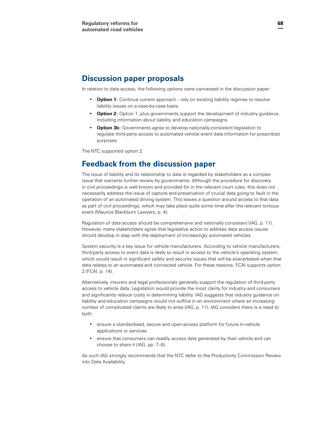# **Discussion paper proposals**

In relation to data access, the following options were canvassed in the discussion paper:

- **Option 1:** Continue current approach rely on existing liability regimes to resolve liability issues on a case-by-case basis.
- **Option 2:** Option 1, plus governments support the development of industry guidance, including information about liability and education campaigns.
- **Option 3b:** Governments agree to develop nationally-consistent legislation to regulate third-party access to automated vehicle event data information for prescribed purposes.

The NTC supported option 2.

# **Feedback from the discussion paper**

The issue of liability and its relationship to data is regarded by stakeholders as a complex issue that warrants further review by governments. Although the procedure for discovery in civil proceedings is well known and provided for in the relevant court rules, this does not necessarily address the issue of capture and preservation of crucial data going to fault in the operation of an automated driving system. This leaves a question around access to that data as part of civil proceedings, which may take place quite some time after the relevant tortious event (Maurice Blackburn Lawyers, p. 4).

Regulation of data access should be comprehensive and nationally consistent (IAG, p. 11). However, many stakeholders agree that legislative action to address data access issues should develop in step with the deployment of increasingly automated vehicles.

System security is a key issue for vehicle manufacturers. According to vehicle manufacturers, third-party access to event data is likely to result in access to the vehicle's operating system, which would result in significant safety and security issues that will be exacerbated when that data relates to an automated and connected vehicle. For these reasons, FCAI supports option 2 (FCAI, p. 14).

Alternatively, insurers and legal professionals generally support the regulation of third-party access to vehicle data. Legislation would provide the most clarity for industry and consumers and significantly reduce costs in determining liability. IAG suggests that industry guidance on liability and education campaigns would not suffice in an environment where an increasing number of complicated claims are likely to arise (IAG, p. 11). IAG considers there is a need to both:

- ensure a standardised, secure and open-access platform for future in-vehicle applications or services
- ensure that consumers can readily access data generated by their vehicle and can choose to share it (IAG, pp. 7–8).

As such IAG strongly recommends that the NTC defer to the Productivity Commission Review into Data Availability.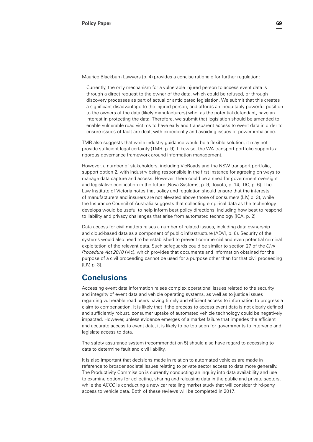Maurice Blackburn Lawyers (p. 4) provides a concise rationale for further regulation:

Currently, the only mechanism for a vulnerable injured person to access event data is through a direct request to the owner of the data, which could be refused, or through discovery processes as part of actual or anticipated legislation. We submit that this creates a significant disadvantage to the injured person, and affords an inequitably powerful position to the owners of the data (likely manufacturers) who, as the potential defendant, have an interest in protecting the data. Therefore, we submit that legislation should be amended to enable vulnerable road victims to have early and transparent access to event data in order to ensure issues of fault are dealt with expediently and avoiding issues of power imbalance.

TMR also suggests that while industry guidance would be a flexible solution, it may not provide sufficient legal certainty (TMR, p. 9). Likewise, the WA transport portfolio supports a rigorous governance framework around information management.

However, a number of stakeholders, including VicRoads and the NSW transport portfolio, support option 2, with industry being responsible in the first instance for agreeing on ways to manage data capture and access. However, there could be a need for government oversight and legislative codification in the future (Nova Systems, p. 9; Toyota, p. 14; TIC, p. 6). The Law Institute of Victoria notes that policy and regulation should ensure that the interests of manufacturers and insurers are not elevated above those of consumers (LIV, p. 3), while the Insurance Council of Australia suggests that collecting empirical data as the technology develops would be useful to help inform best policy directions, including how best to respond to liability and privacy challenges that arise from automated technology (ICA, p. 2).

Data access for civil matters raises a number of related issues, including data ownership and cloud-based data as a component of public infrastructure (ADVI, p. 6). Security of the systems would also need to be established to prevent commercial and even potential criminal exploitation of the relevant data. Such safeguards could be similar to section 27 of the *Civil Procedure Act 2010* (Vic), which provides that documents and information obtained for the purpose of a civil proceeding cannot be used for a purpose other than for that civil proceeding (LIV, p. 3).

# **Conclusions**

Accessing event data information raises complex operational issues related to the security and integrity of event data and vehicle operating systems, as well as to justice issues regarding vulnerable road users having timely and efficient access to information to progress a claim to compensation. It is likely that if the process to access event data is not clearly defined and sufficiently robust, consumer uptake of automated vehicle technology could be negatively impacted. However, unless evidence emerges of a market failure that impedes the efficient and accurate access to event data, it is likely to be too soon for governments to intervene and legislate access to data.

The safety assurance system (recommendation 5) should also have regard to accessing to data to determine fault and civil liability.

It is also important that decisions made in relation to automated vehicles are made in reference to broader societal issues relating to private sector access to data more generally. The Productivity Commission is currently conducting an inquiry into data availability and use to examine options for collecting, sharing and releasing data in the public and private sectors, while the ACCC is conducting a new car retailing market study that will consider third-party access to vehicle data. Both of these reviews will be completed in 2017.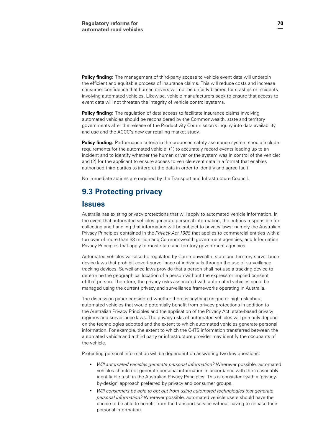**Policy finding:** The management of third-party access to vehicle event data will underpin the efficient and equitable process of insurance claims. This will reduce costs and increase consumer confidence that human drivers will not be unfairly blamed for crashes or incidents involving automated vehicles. Likewise, vehicle manufacturers seek to ensure that access to event data will not threaten the integrity of vehicle control systems.

**Policy finding:** The regulation of data access to facilitate insurance claims involving automated vehicles should be reconsidered by the Commonwealth, state and territory governments after the release of the Productivity Commission's inquiry into data availability and use and the ACCC's new car retailing market study.

**Policy finding:** Performance criteria in the proposed safety assurance system should include requirements for the automated vehicle: (1) to accurately record events leading up to an incident and to identify whether the human driver or the system was in control of the vehicle; and (2) for the applicant to ensure access to vehicle event data in a format that enables authorised third parties to interpret the data in order to identify and agree fault.

No immediate actions are required by the Transport and Infrastructure Council.

# **9.3 Protecting privacy**

#### **Issues**

Australia has existing privacy protections that will apply to automated vehicle information. In the event that automated vehicles generate personal information, the entities responsible for collecting and handling that information will be subject to privacy laws: namely the Australian Privacy Principles contained in the *Privacy Act 1988* that applies to commercial entities with a turnover of more than \$3 million and Commonwealth government agencies, and Information Privacy Principles that apply to most state and territory government agencies.

Automated vehicles will also be regulated by Commonwealth, state and territory surveillance device laws that prohibit covert surveillance of individuals through the use of surveillance tracking devices. Surveillance laws provide that a person shall not use a tracking device to determine the geographical location of a person without the express or implied consent of that person. Therefore, the privacy risks associated with automated vehicles could be managed using the current privacy and surveillance frameworks operating in Australia.

The discussion paper considered whether there is anything unique or high risk about automated vehicles that would potentially benefit from privacy protections in addition to the Australian Privacy Principles and the application of the Privacy Act, state-based privacy regimes and surveillance laws. The privacy risks of automated vehicles will primarily depend on the technologies adopted and the extent to which automated vehicles generate personal information. For example, the extent to which the C-ITS information transferred between the automated vehicle and a third party or infrastructure provider may identify the occupants of the vehicle.

Protecting personal information will be dependent on answering two key questions:

- *Will automated vehicles generate personal information?* Wherever possible, automated vehicles should not generate personal information in accordance with the 'reasonably identifiable test' in the Australian Privacy Principles. This is consistent with a 'privacyby-design' approach preferred by privacy and consumer groups.
- *Will consumers be able to opt out from using automated technologies that generate personal information?* Wherever possible, automated vehicle users should have the choice to be able to benefit from the transport service without having to release their personal information.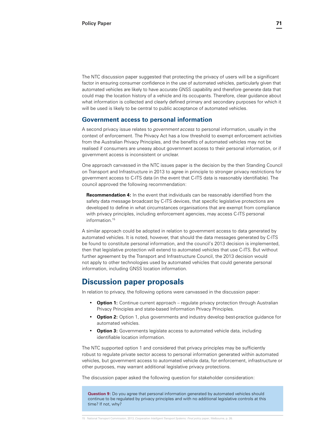The NTC discussion paper suggested that protecting the privacy of users will be a significant factor in ensuring consumer confidence in the use of automated vehicles, particularly given that automated vehicles are likely to have accurate GNSS capability and therefore generate data that could map the location history of a vehicle and its occupants. Therefore, clear guidance about what information is collected and clearly defined primary and secondary purposes for which it will be used is likely to be central to public acceptance of automated vehicles.

#### **Government access to personal information**

A second privacy issue relates to *government access* to personal information, usually in the context of enforcement. The Privacy Act has a low threshold to exempt enforcement activities from the Australian Privacy Principles, and the benefits of automated vehicles may not be realised if consumers are uneasy about government access to their personal information, or if government access is inconsistent or unclear.

One approach canvassed in the NTC issues paper is the decision by the then Standing Council on Transport and Infrastructure in 2013 to agree in principle to stronger privacy restrictions for government access to C-ITS data (in the event that C-ITS data is reasonably identifiable). The council approved the following recommendation:

**Recommendation 4:** In the event that individuals can be reasonably identified from the safety data message broadcast by C-ITS devices, that specific legislative protections are developed to define in what circumstances organisations that are exempt from compliance with privacy principles, including enforcement agencies, may access C-ITS personal information.15

A similar approach could be adopted in relation to government access to data generated by automated vehicles. It is noted, however, that should the data messages generated by C-ITS be found to constitute personal information, and the council's 2013 decision is implemented, then that legislative protection will extend to automated vehicles that use C-ITS. But without further agreement by the Transport and Infrastructure Council, the 2013 decision would not apply to other technologies used by automated vehicles that could generate personal information, including GNSS location information.

## **Discussion paper proposals**

In relation to privacy, the following options were canvassed in the discussion paper:

- **Option 1:** Continue current approach regulate privacy protection through Australian Privacy Principles and state-based Information Privacy Principles.
- **Option 2:** Option 1, plus governments and industry develop best-practice guidance for automated vehicles.
- **Option 3:** Governments legislate access to automated vehicle data, including identifiable location information.

The NTC supported option 1 and considered that privacy principles may be sufficiently robust to regulate private sector access to personal information generated within automated vehicles, but government access to automated vehicle data, for enforcement, infrastructure or other purposes, may warrant additional legislative privacy protections.

The discussion paper asked the following question for stakeholder consideration:

**Question 9:** Do you agree that personal information generated by automated vehicles should continue to be regulated by privacy principles and with no additional legislative controls at this time? If not, why?

15 National Transport Commission, 2013, *Cooperative Intelligent Transport Systems: Final policy paper*, Melbourne, p. 26.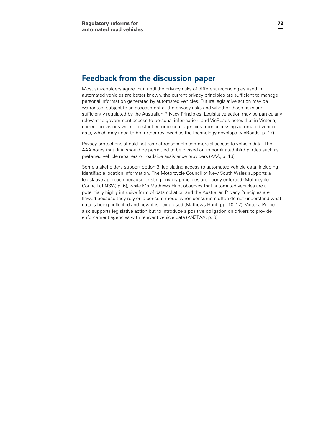# **Feedback from the discussion paper**

Most stakeholders agree that, until the privacy risks of different technologies used in automated vehicles are better known, the current privacy principles are sufficient to manage personal information generated by automated vehicles. Future legislative action may be warranted, subject to an assessment of the privacy risks and whether those risks are sufficiently regulated by the Australian Privacy Principles. Legislative action may be particularly relevant to government access to personal information, and VicRoads notes that in Victoria, current provisions will not restrict enforcement agencies from accessing automated vehicle data, which may need to be further reviewed as the technology develops (VicRoads, p. 17).

Privacy protections should not restrict reasonable commercial access to vehicle data. The AAA notes that data should be permitted to be passed on to nominated third parties such as preferred vehicle repairers or roadside assistance providers (AAA, p. 16).

Some stakeholders support option 3, legislating access to automated vehicle data, including identifiable location information. The Motorcycle Council of New South Wales supports a legislative approach because existing privacy principles are poorly enforced (Motorcycle Council of NSW, p. 6), while Ms Mathews Hunt observes that automated vehicles are a potentially highly intrusive form of data collation and the Australian Privacy Principles are flawed because they rely on a consent model when consumers often do not understand what data is being collected and how it is being used (Mathews Hunt, pp. 10–12). Victoria Police also supports legislative action but to introduce a positive obligation on drivers to provide enforcement agencies with relevant vehicle data (ANZPAA, p. 6).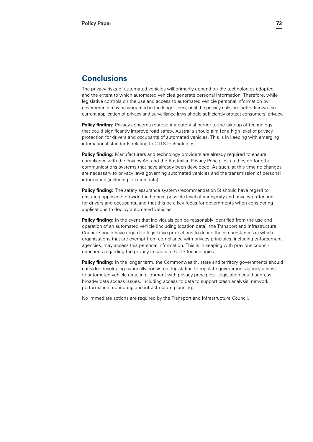## **Conclusions**

The privacy risks of automated vehicles will primarily depend on the technologies adopted and the extent to which automated vehicles generate personal information. Therefore, while legislative controls on the use and access to automated vehicle personal information by governments may be warranted in the longer term, until the privacy risks are better known the current application of privacy and surveillance laws should sufficiently protect consumers' privacy.

**Policy finding:** Privacy concerns represent a potential barrier to the take-up of technology that could significantly improve road safety. Australia should aim for a high level of privacy protection for drivers and occupants of automated vehicles. This is in keeping with emerging international standards relating to C-ITS technologies.

**Policy finding:** Manufacturers and technology providers are already required to ensure compliance with the Privacy Act and the Australian Privacy Principles, as they do for other communications systems that have already been developed. As such, at this time no changes are necessary to privacy laws governing automated vehicles and the transmission of personal information (including location data).

**Policy finding:** The safety assurance system (recommendation 5) should have regard to ensuring applicants provide the highest possible level of anonymity and privacy protection for drivers and occupants, and that this be a key focus for governments when considering applications to deploy automated vehicles.

**Policy finding:** In the event that individuals can be reasonably identified from the use and operation of an automated vehicle (including location data), the Transport and Infrastructure Council should have regard to legislative protections to define the circumstances in which organisations that are exempt from compliance with privacy principles, including enforcement agencies, may access this personal information. This is in keeping with previous council directions regarding the privacy impacts of C-ITS technologies.

**Policy finding:** In the longer term, the Commonwealth, state and territory governments should consider developing nationally consistent legislation to regulate government agency access to automated vehicle data, in alignment with privacy principles. Legislation could address broader data access issues, including access to data to support crash analysis, network performance monitoring and infrastructure planning.

No immediate actions are required by the Transport and Infrastructure Council.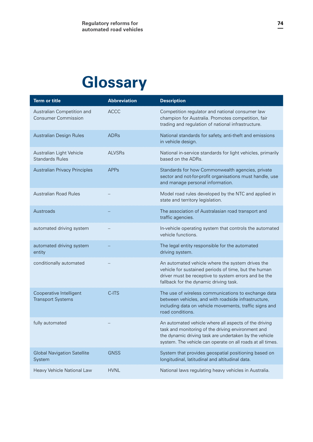## **Glossary**

| <b>Term or title</b>                                     | <b>Abbreviation</b> | <b>Description</b>                                                                                                                                                                                                                  |
|----------------------------------------------------------|---------------------|-------------------------------------------------------------------------------------------------------------------------------------------------------------------------------------------------------------------------------------|
| Australian Competition and<br><b>Consumer Commission</b> | <b>ACCC</b>         | Competition regulator and national consumer law<br>champion for Australia. Promotes competition, fair<br>trading and regulation of national infrastructure.                                                                         |
| Australian Design Rules                                  | <b>ADRs</b>         | National standards for safety, anti-theft and emissions<br>in vehicle design.                                                                                                                                                       |
| Australian Light Vehicle<br><b>Standards Rules</b>       | <b>ALVSRs</b>       | National in-service standards for light vehicles, primarily<br>based on the ADRs.                                                                                                                                                   |
| <b>Australian Privacy Principles</b>                     | <b>APPs</b>         | Standards for how Commonwealth agencies, private<br>sector and not-for-profit organisations must handle, use<br>and manage personal information.                                                                                    |
| <b>Australian Road Rules</b>                             |                     | Model road rules developed by the NTC and applied in<br>state and territory legislation.                                                                                                                                            |
| Austroads                                                |                     | The association of Australasian road transport and<br>traffic agencies.                                                                                                                                                             |
| automated driving system                                 |                     | In-vehicle operating system that controls the automated<br>vehicle functions.                                                                                                                                                       |
| automated driving system<br>entity                       |                     | The legal entity responsible for the automated<br>driving system.                                                                                                                                                                   |
| conditionally automated                                  |                     | An automated vehicle where the system drives the<br>vehicle for sustained periods of time, but the human<br>driver must be receptive to system errors and be the<br>fallback for the dynamic driving task.                          |
| Cooperative Intelligent<br><b>Transport Systems</b>      | C-ITS               | The use of wireless communications to exchange data<br>between vehicles, and with roadside infrastructure,<br>including data on vehicle movements, traffic signs and<br>road conditions.                                            |
| fully automated                                          |                     | An automated vehicle where all aspects of the driving<br>task and monitoring of the driving environment and<br>the dynamic driving task are undertaken by the vehicle<br>system. The vehicle can operate on all roads at all times. |
| <b>Global Navigation Satellite</b><br>System             | <b>GNSS</b>         | System that provides geospatial positioning based on<br>longitudinal, latitudinal and altitudinal data.                                                                                                                             |
| Heavy Vehicle National Law                               | <b>HVNL</b>         | National laws regulating heavy vehicles in Australia.                                                                                                                                                                               |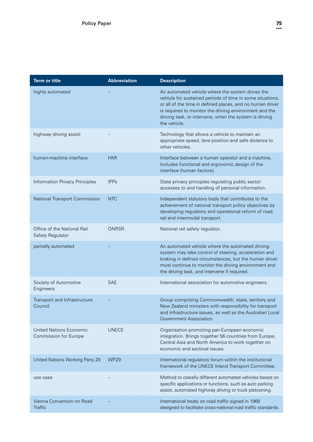| <b>Term or title</b>                                    | <b>Abbreviation</b> | <b>Description</b>                                                                                                                                                                                                                                                                                             |
|---------------------------------------------------------|---------------------|----------------------------------------------------------------------------------------------------------------------------------------------------------------------------------------------------------------------------------------------------------------------------------------------------------------|
| highly automated                                        |                     | An automated vehicle where the system drives the<br>vehicle for sustained periods of time in some situations,<br>or all of the time in defined places, and no human driver<br>is required to monitor the driving environment and the<br>driving task, or intervene, when the system is driving<br>the vehicle. |
| highway driving assist                                  |                     | Technology that allows a vehicle to maintain an<br>appropriate speed, lane position and safe distance to<br>other vehicles.                                                                                                                                                                                    |
| human-machine interface                                 | <b>HMI</b>          | Interface between a human operator and a machine.<br>Includes functional and ergonomic design of the<br>interface (human factors).                                                                                                                                                                             |
| Information Privacy Principles                          | <b>IPPs</b>         | State privacy principles regulating public sector<br>accesses to and handling of personal information.                                                                                                                                                                                                         |
| National Transport Commission                           | <b>NTC</b>          | Independent statutory body that contributes to the<br>achievement of national transport policy objectives by<br>developing regulatory and operational reform of road,<br>rail and intermodal transport.                                                                                                        |
| Office of the National Rail<br>Safety Regulator         | <b>ONRSR</b>        | National rail safety regulator.                                                                                                                                                                                                                                                                                |
| partially automated                                     |                     | An automated vehicle where the automated driving<br>system may take control of steering, acceleration and<br>braking in defined circumstances, but the human driver<br>must continue to monitor the driving environment and<br>the driving task, and intervene if required.                                    |
| Society of Automotive<br>Engineers                      | <b>SAE</b>          | International association for automotive engineers.                                                                                                                                                                                                                                                            |
| Transport and Infrastructure<br>Council                 |                     | Group comprising Commonwealth, state, territory and<br>New Zealand ministers with responsibility for transport<br>and infrastructure issues, as well as the Australian Local<br>Government Association.                                                                                                        |
| United Nations Economic<br><b>Commission for Europe</b> | <b>UNECE</b>        | Organisation promoting pan-European economic<br>integration. Brings together 56 countries from Europe,<br>Central Asia and North America to work together on<br>economic and sectoral issues.                                                                                                                  |
| United Nations Working Party 29                         | <b>WP.29</b>        | International regulatory forum within the institutional<br>framework of the UNECE Inland Transport Committee.                                                                                                                                                                                                  |
| use case                                                |                     | Method to classify different automated vehicles based on<br>specific applications or functions, such as auto parking<br>assist, automated highway driving or truck platooning.                                                                                                                                 |
| Vienna Convention on Road<br><b>Traffic</b>             |                     | International treaty on road traffic signed in 1968<br>designed to facilitate cross-national road traffic standards.                                                                                                                                                                                           |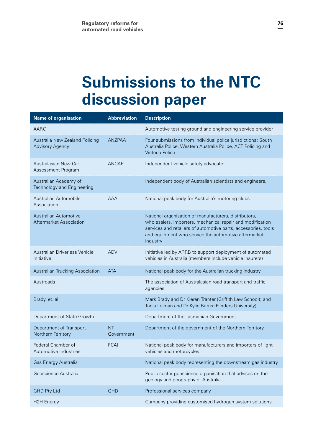## **Submissions to the NTC discussion paper**

| <b>Name of organisation</b>                              | <b>Abbreviation</b>     | <b>Description</b>                                                                                                                                                                                                                                        |
|----------------------------------------------------------|-------------------------|-----------------------------------------------------------------------------------------------------------------------------------------------------------------------------------------------------------------------------------------------------------|
| AARC                                                     |                         | Automotive testing ground and engineering service provider                                                                                                                                                                                                |
| Australia New Zealand Policing<br><b>Advisory Agency</b> | <b>ANZPAA</b>           | Four submissions from individual police jurisdictions: South<br>Australia Police, Western Australia Police, ACT Policing and<br>Victoria Police                                                                                                           |
| Australasian New Car<br>Assessment Program               | <b>ANCAP</b>            | Independent vehicle safety advocate                                                                                                                                                                                                                       |
| Australian Academy of<br>Technology and Engineering      |                         | Independent body of Australian scientists and engineers.                                                                                                                                                                                                  |
| Australian Automobile<br>Association                     | <b>AAA</b>              | National peak body for Australia's motoring clubs                                                                                                                                                                                                         |
| Australian Automotive<br>Aftermarket Association         |                         | National organisation of manufacturers, distributors,<br>wholesalers, importers, mechanical repair and modification<br>services and retailers of automotive parts, accessories, tools<br>and equipment who service the automotive aftermarket<br>industry |
| Australian Driverless Vehicle<br>Initiative              | <b>ADVI</b>             | Initiative led by ARRB to support deployment of automated<br>vehicles in Australia (members include vehicle insurers)                                                                                                                                     |
| Australian Trucking Association                          | <b>ATA</b>              | National peak body for the Australian trucking industry                                                                                                                                                                                                   |
| Austroads                                                |                         | The association of Australasian road transport and traffic<br>agencies.                                                                                                                                                                                   |
| Brady, et. al.                                           |                         | Mark Brady and Dr Kieran Tranter (Griffith Law School); and<br>Tania Leiman and Dr Kylie Burns (Flinders University)                                                                                                                                      |
| Department of State Growth                               |                         | Department of the Tasmanian Government                                                                                                                                                                                                                    |
| Department of Transport<br>Northern Territory            | <b>NT</b><br>Government | Department of the government of the Northern Territory                                                                                                                                                                                                    |
| Federal Chamber of<br>Automotive Industries              | <b>FCAI</b>             | National peak body for manufacturers and importers of light<br>vehicles and motorcycles                                                                                                                                                                   |
| Gas Energy Australia                                     |                         | National peak body representing the downstream gas industry                                                                                                                                                                                               |
| Geoscience Australia                                     |                         | Public sector geoscience organisation that advises on the<br>geology and geography of Australia                                                                                                                                                           |
| <b>GHD Pty Ltd</b>                                       | <b>GHD</b>              | Professional services company                                                                                                                                                                                                                             |
| <b>H2H Energy</b>                                        |                         | Company providing customised hydrogen system solutions                                                                                                                                                                                                    |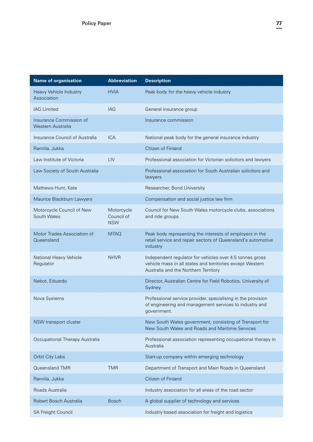| <b>Name of organisation</b>                  | <b>Abbreviation</b>                    | <b>Description</b>                                                                                                                                            |
|----------------------------------------------|----------------------------------------|---------------------------------------------------------------------------------------------------------------------------------------------------------------|
| Heavy Vehicle Industry<br>Association        | <b>HVIA</b>                            | Peak body for the heavy vehicle industry                                                                                                                      |
| <b>IAG Limited</b>                           | <b>IAG</b>                             | General insurance group                                                                                                                                       |
| Insurance Commission of<br>Western Australia |                                        | Insurance commission                                                                                                                                          |
| Insurance Council of Australia               | <b>ICA</b>                             | National peak body for the general insurance industry                                                                                                         |
| Rannila, Jukka                               |                                        | Citizen of Finland                                                                                                                                            |
| Law Institute of Victoria                    | LIV                                    | Professional association for Victorian solicitors and lawyers                                                                                                 |
| Law Society of South Australia               |                                        | Professional association for South Australian solicitors and<br>lawyers                                                                                       |
| Mathews Hunt, Kate                           |                                        | Researcher, Bond University                                                                                                                                   |
| Maurice Blackburn Lawyers                    |                                        | Compensation and social justice law firm                                                                                                                      |
| Motorcycle Council of New<br>South Wales     | Motorcycle<br>Council of<br><b>NSW</b> | Council for New South Wales motorcycle clubs, associations<br>and ride groups                                                                                 |
| Motor Trades Association of<br>Queensland    | <b>MTAQ</b>                            | Peak body representing the interests of employers in the<br>retail service and repair sectors of Queensland's automotive<br>industry                          |
| National Heavy Vehicle<br>Regulator          | <b>NHVR</b>                            | Independent regulator for vehicles over 4.5 tonnes gross<br>vehicle mass in all states and territories except Western<br>Australia and the Northern Territory |
| Nebot, Eduardo                               |                                        | Director, Australian Centre for Field Robotics, University of<br>Sydney                                                                                       |
| Nova Systems                                 |                                        | Professional service provider, specialising in the provision<br>of engineering and management services to industry and<br>government.                         |
| NSW transport cluster                        |                                        | New South Wales government, consisting of Transport for<br>New South Wales and Roads and Maritime Services                                                    |
| Occupational Therapy Australia               |                                        | Professional association representing occupational therapy in<br>Australia                                                                                    |
| Orbit City Labs                              |                                        | Start-up company within emerging technology                                                                                                                   |
| Queensland TMR                               | <b>TMR</b>                             | Department of Transport and Main Roads in Queensland                                                                                                          |
| Rannila, Jukka                               |                                        | Citizen of Finland                                                                                                                                            |
| Roads Australia                              |                                        | Industry association for all areas of the road sector                                                                                                         |
| Robert Bosch Australia                       | <b>Bosch</b>                           | A global supplier of technology and services                                                                                                                  |
| SA Freight Council                           |                                        | Industry based association for freight and logistics                                                                                                          |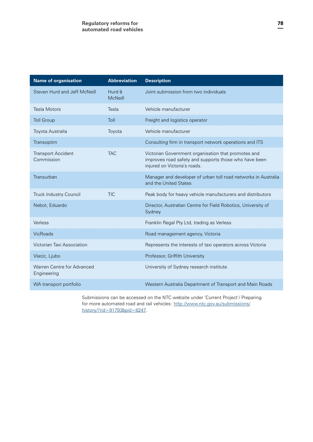| <b>Name of organisation</b>                      | <b>Abbreviation</b>      | <b>Description</b>                                                                                                                           |
|--------------------------------------------------|--------------------------|----------------------------------------------------------------------------------------------------------------------------------------------|
| Steven Hurd and Jeff McNeill                     | Hurd &<br><b>McNeill</b> | Joint submission from two individuals                                                                                                        |
| <b>Tesla Motors</b>                              | Tesla                    | Vehicle manufacturer                                                                                                                         |
| <b>Toll Group</b>                                | Toll                     | Freight and logistics operator                                                                                                               |
| Toyota Australia                                 | Toyota                   | Vehicle manufacturer                                                                                                                         |
| Transoptim                                       |                          | Consulting firm in transport network operations and ITS                                                                                      |
| <b>Transport Accident</b><br>Commission          | <b>TAC</b>               | Victorian Government organisation that promotes and<br>improves road safety and supports those who have been<br>injured on Victoria's roads. |
| Transurban                                       |                          | Manager and developer of urban toll road networks in Australia<br>and the United States                                                      |
| <b>Truck Industry Council</b>                    | <b>TIC</b>               | Peak body for heavy vehicle manufacturers and distributors                                                                                   |
| Nebot, Eduardo                                   |                          | Director, Australian Centre for Field Robotics, University of<br>Sydney                                                                      |
| Verless                                          |                          | Franklin Regal Pty Ltd, trading as Verless                                                                                                   |
| <b>VicRoads</b>                                  |                          | Road management agency, Victoria                                                                                                             |
| Victorian Taxi Association                       |                          | Represents the interests of taxi operators across Victoria                                                                                   |
| Vlacic, Ljubo                                    |                          | Professor, Griffith University                                                                                                               |
| <b>Warren Centre for Advanced</b><br>Engineering |                          | University of Sydney research institute                                                                                                      |
| WA transport portfolio                           |                          | Western Australia Department of Transport and Main Roads                                                                                     |

Submissions can be accessed on the NTC website under 'Current Project'/ Preparing for more automated road and rail vehicles: [http://www.ntc.gov.au/submissions/](http://www.ntc.gov.au/submissions/history/?rid=91793&pid=8247) [history/?rid=91793&pid=8247.](http://www.ntc.gov.au/submissions/history/?rid=91793&pid=8247)